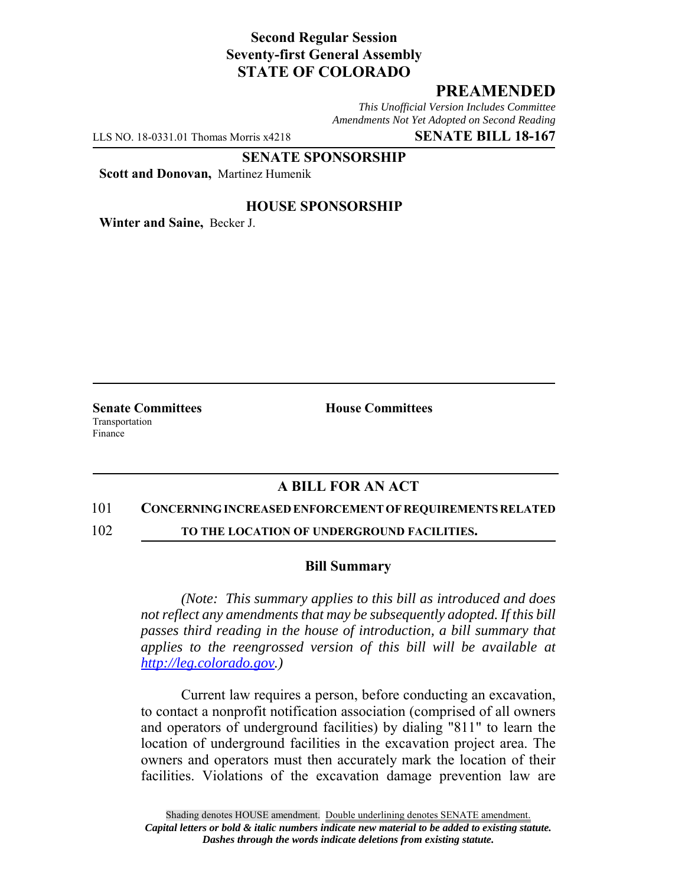# **Second Regular Session Seventy-first General Assembly STATE OF COLORADO**

## **PREAMENDED**

*This Unofficial Version Includes Committee Amendments Not Yet Adopted on Second Reading*

LLS NO. 18-0331.01 Thomas Morris x4218 **SENATE BILL 18-167**

**SENATE SPONSORSHIP**

**Scott and Donovan,** Martinez Humenik

### **HOUSE SPONSORSHIP**

**Winter and Saine,** Becker J.

Transportation Finance

**Senate Committees House Committees** 

## **A BILL FOR AN ACT**

#### 101 **CONCERNING INCREASED ENFORCEMENT OF REQUIREMENTS RELATED**

102 **TO THE LOCATION OF UNDERGROUND FACILITIES.**

#### **Bill Summary**

*(Note: This summary applies to this bill as introduced and does not reflect any amendments that may be subsequently adopted. If this bill passes third reading in the house of introduction, a bill summary that applies to the reengrossed version of this bill will be available at http://leg.colorado.gov.)*

Current law requires a person, before conducting an excavation, to contact a nonprofit notification association (comprised of all owners and operators of underground facilities) by dialing "811" to learn the location of underground facilities in the excavation project area. The owners and operators must then accurately mark the location of their facilities. Violations of the excavation damage prevention law are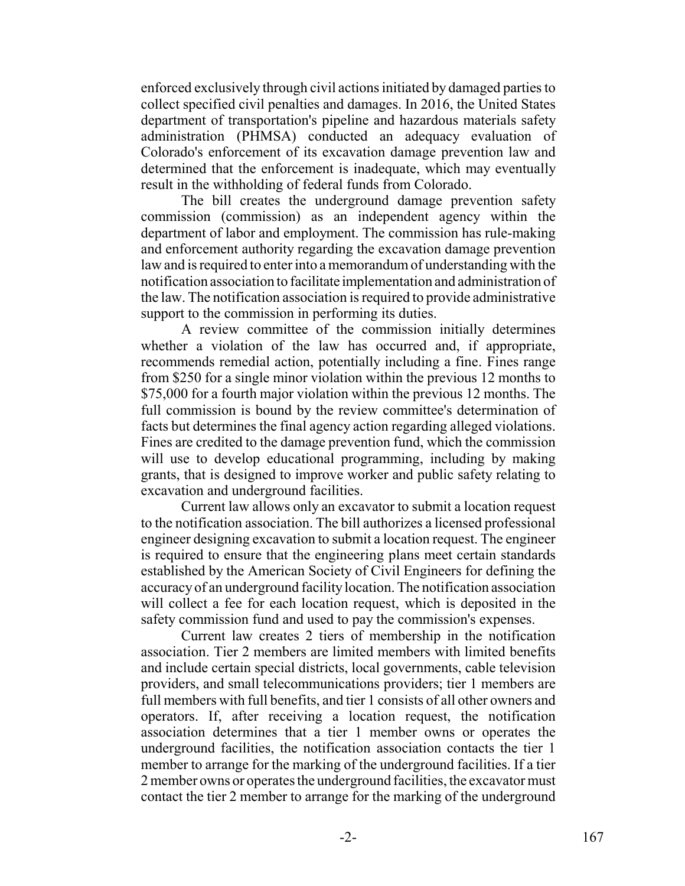enforced exclusively through civil actions initiated by damaged parties to collect specified civil penalties and damages. In 2016, the United States department of transportation's pipeline and hazardous materials safety administration (PHMSA) conducted an adequacy evaluation of Colorado's enforcement of its excavation damage prevention law and determined that the enforcement is inadequate, which may eventually result in the withholding of federal funds from Colorado.

The bill creates the underground damage prevention safety commission (commission) as an independent agency within the department of labor and employment. The commission has rule-making and enforcement authority regarding the excavation damage prevention law and is required to enter into a memorandum of understanding with the notification association to facilitate implementation and administration of the law. The notification association is required to provide administrative support to the commission in performing its duties.

A review committee of the commission initially determines whether a violation of the law has occurred and, if appropriate, recommends remedial action, potentially including a fine. Fines range from \$250 for a single minor violation within the previous 12 months to \$75,000 for a fourth major violation within the previous 12 months. The full commission is bound by the review committee's determination of facts but determines the final agency action regarding alleged violations. Fines are credited to the damage prevention fund, which the commission will use to develop educational programming, including by making grants, that is designed to improve worker and public safety relating to excavation and underground facilities.

Current law allows only an excavator to submit a location request to the notification association. The bill authorizes a licensed professional engineer designing excavation to submit a location request. The engineer is required to ensure that the engineering plans meet certain standards established by the American Society of Civil Engineers for defining the accuracy of an underground facility location. The notification association will collect a fee for each location request, which is deposited in the safety commission fund and used to pay the commission's expenses.

Current law creates 2 tiers of membership in the notification association. Tier 2 members are limited members with limited benefits and include certain special districts, local governments, cable television providers, and small telecommunications providers; tier 1 members are full members with full benefits, and tier 1 consists of all other owners and operators. If, after receiving a location request, the notification association determines that a tier 1 member owns or operates the underground facilities, the notification association contacts the tier 1 member to arrange for the marking of the underground facilities. If a tier 2 member owns or operates the underground facilities, the excavator must contact the tier 2 member to arrange for the marking of the underground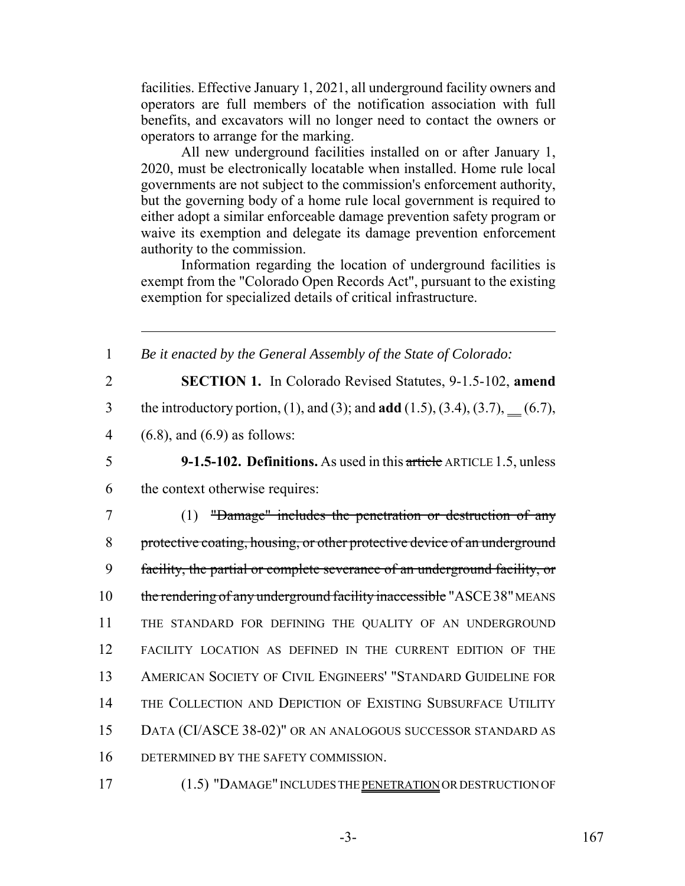facilities. Effective January 1, 2021, all underground facility owners and operators are full members of the notification association with full benefits, and excavators will no longer need to contact the owners or operators to arrange for the marking.

All new underground facilities installed on or after January 1, 2020, must be electronically locatable when installed. Home rule local governments are not subject to the commission's enforcement authority, but the governing body of a home rule local government is required to either adopt a similar enforceable damage prevention safety program or waive its exemption and delegate its damage prevention enforcement authority to the commission.

Information regarding the location of underground facilities is exempt from the "Colorado Open Records Act", pursuant to the existing exemption for specialized details of critical infrastructure.

 *Be it enacted by the General Assembly of the State of Colorado:* **SECTION 1.** In Colorado Revised Statutes, 9-1.5-102, **amend** the introductory portion, (1), and (3); and **add** (1.5), (3.4), (3.7), (6.7), (6.8), and (6.9) as follows: **9-1.5-102. Definitions.** As used in this article ARTICLE 1.5, unless the context otherwise requires: (1) "Damage" includes the penetration or destruction of any protective coating, housing, or other protective device of an underground facility, the partial or complete severance of an underground facility, or 10 the rendering of any underground facility inaccessible "ASCE38" MEANS THE STANDARD FOR DEFINING THE QUALITY OF AN UNDERGROUND FACILITY LOCATION AS DEFINED IN THE CURRENT EDITION OF THE AMERICAN SOCIETY OF CIVIL ENGINEERS' "STANDARD GUIDELINE FOR THE COLLECTION AND DEPICTION OF EXISTING SUBSURFACE UTILITY DATA (CI/ASCE 38-02)" OR AN ANALOGOUS SUCCESSOR STANDARD AS DETERMINED BY THE SAFETY COMMISSION.

17 (1.5) "DAMAGE" INCLUDES THE PENETRATION OR DESTRUCTION OF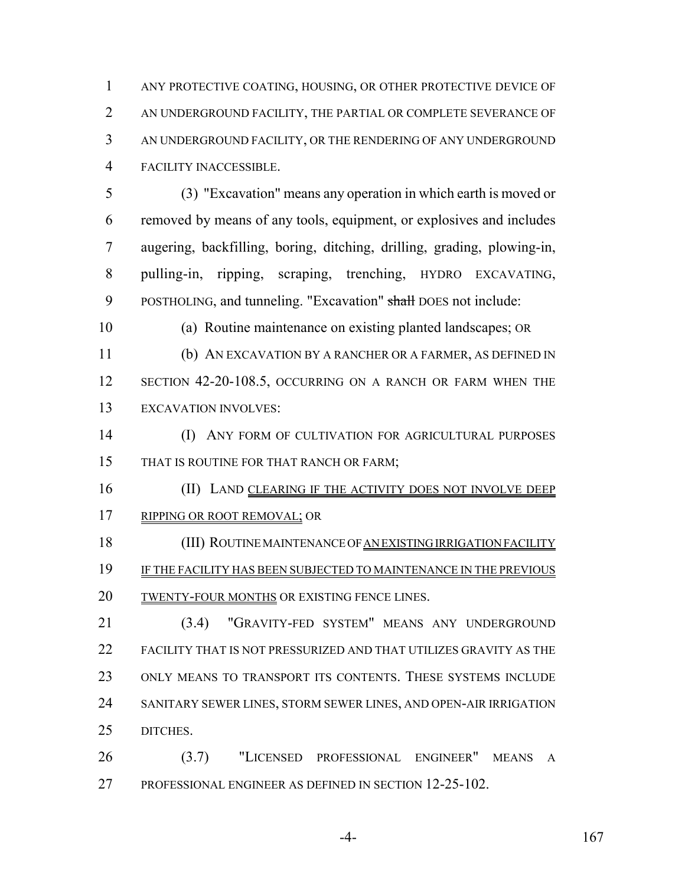ANY PROTECTIVE COATING, HOUSING, OR OTHER PROTECTIVE DEVICE OF AN UNDERGROUND FACILITY, THE PARTIAL OR COMPLETE SEVERANCE OF AN UNDERGROUND FACILITY, OR THE RENDERING OF ANY UNDERGROUND FACILITY INACCESSIBLE.

 (3) "Excavation" means any operation in which earth is moved or removed by means of any tools, equipment, or explosives and includes augering, backfilling, boring, ditching, drilling, grading, plowing-in, pulling-in, ripping, scraping, trenching, HYDRO EXCAVATING, 9 POSTHOLING, and tunneling. "Excavation" shall DOES not include:

(a) Routine maintenance on existing planted landscapes; OR

 (b) AN EXCAVATION BY A RANCHER OR A FARMER, AS DEFINED IN 12 SECTION 42-20-108.5, OCCURRING ON A RANCH OR FARM WHEN THE EXCAVATION INVOLVES:

 (I) ANY FORM OF CULTIVATION FOR AGRICULTURAL PURPOSES 15 THAT IS ROUTINE FOR THAT RANCH OR FARM;

16 (II) LAND CLEARING IF THE ACTIVITY DOES NOT INVOLVE DEEP 17 RIPPING OR ROOT REMOVAL; OR

 (III) ROUTINE MAINTENANCE OF AN EXISTING IRRIGATION FACILITY IF THE FACILITY HAS BEEN SUBJECTED TO MAINTENANCE IN THE PREVIOUS TWENTY-FOUR MONTHS OR EXISTING FENCE LINES.

 (3.4) "GRAVITY-FED SYSTEM" MEANS ANY UNDERGROUND FACILITY THAT IS NOT PRESSURIZED AND THAT UTILIZES GRAVITY AS THE ONLY MEANS TO TRANSPORT ITS CONTENTS. THESE SYSTEMS INCLUDE SANITARY SEWER LINES, STORM SEWER LINES, AND OPEN-AIR IRRIGATION DITCHES.

 (3.7) "LICENSED PROFESSIONAL ENGINEER" MEANS A PROFESSIONAL ENGINEER AS DEFINED IN SECTION 12-25-102.

-4- 167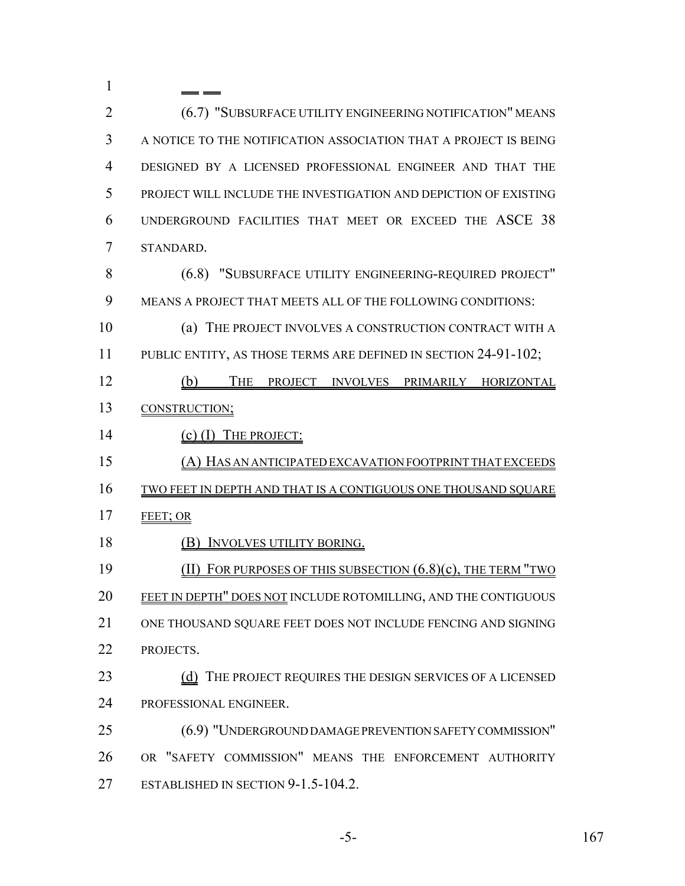(6.7) "SUBSURFACE UTILITY ENGINEERING NOTIFICATION" MEANS A NOTICE TO THE NOTIFICATION ASSOCIATION THAT A PROJECT IS BEING DESIGNED BY A LICENSED PROFESSIONAL ENGINEER AND THAT THE PROJECT WILL INCLUDE THE INVESTIGATION AND DEPICTION OF EXISTING UNDERGROUND FACILITIES THAT MEET OR EXCEED THE ASCE 38 STANDARD. (6.8) "SUBSURFACE UTILITY ENGINEERING-REQUIRED PROJECT" MEANS A PROJECT THAT MEETS ALL OF THE FOLLOWING CONDITIONS: (a) THE PROJECT INVOLVES A CONSTRUCTION CONTRACT WITH A 11 PUBLIC ENTITY, AS THOSE TERMS ARE DEFINED IN SECTION 24-91-102; 12 (b) THE PROJECT INVOLVES PRIMARILY HORIZONTAL CONSTRUCTION; 14 (c) (I) THE PROJECT: (A) HAS AN ANTICIPATED EXCAVATION FOOTPRINT THAT EXCEEDS TWO FEET IN DEPTH AND THAT IS A CONTIGUOUS ONE THOUSAND SQUARE 17 FEET; OR 18 (B) INVOLVES UTILITY BORING. (II) FOR PURPOSES OF THIS SUBSECTION (6.8)(c), THE TERM "TWO FEET IN DEPTH" DOES NOT INCLUDE ROTOMILLING, AND THE CONTIGUOUS ONE THOUSAND SQUARE FEET DOES NOT INCLUDE FENCING AND SIGNING PROJECTS. 23 (d) THE PROJECT REQUIRES THE DESIGN SERVICES OF A LICENSED PROFESSIONAL ENGINEER. (6.9) "UNDERGROUND DAMAGE PREVENTION SAFETY COMMISSION" OR "SAFETY COMMISSION" MEANS THE ENFORCEMENT AUTHORITY 27 ESTABLISHED IN SECTION 9-1.5-104.2.

-5- 167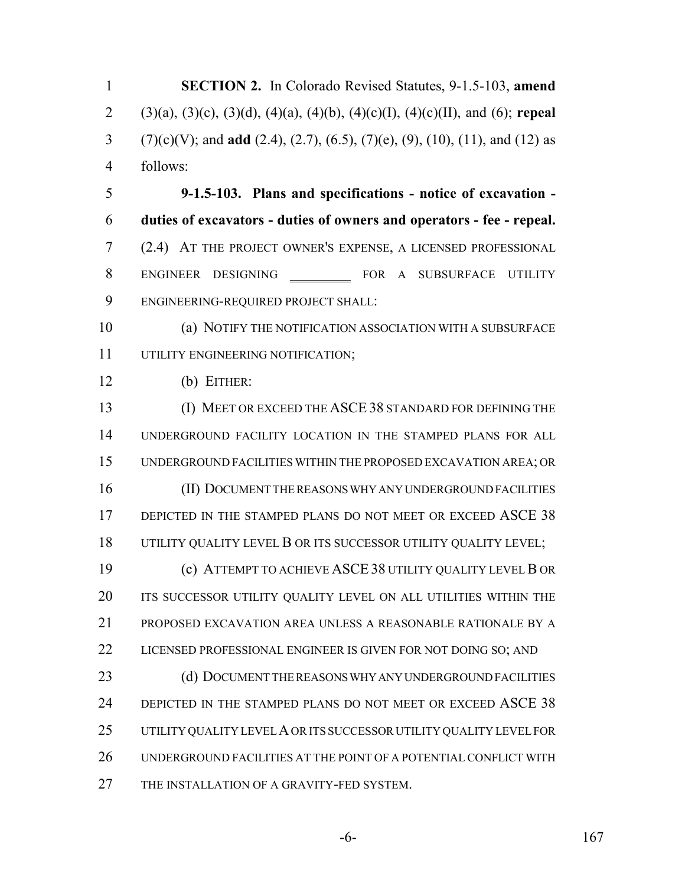**SECTION 2.** In Colorado Revised Statutes, 9-1.5-103, **amend** (3)(a), (3)(c), (3)(d), (4)(a), (4)(b), (4)(c)(I), (4)(c)(II), and (6); **repeal** (7)(c)(V); and **add** (2.4), (2.7), (6.5), (7)(e), (9), (10), (11), and (12) as follows: **9-1.5-103. Plans and specifications - notice of excavation - duties of excavators - duties of owners and operators - fee - repeal.** (2.4) AT THE PROJECT OWNER'S EXPENSE, A LICENSED PROFESSIONAL 8 ENGINEER DESIGNING FOR A SUBSURFACE UTILITY ENGINEERING-REQUIRED PROJECT SHALL: (a) NOTIFY THE NOTIFICATION ASSOCIATION WITH A SUBSURFACE UTILITY ENGINEERING NOTIFICATION; (b) EITHER: (I) MEET OR EXCEED THE ASCE 38 STANDARD FOR DEFINING THE UNDERGROUND FACILITY LOCATION IN THE STAMPED PLANS FOR ALL UNDERGROUND FACILITIES WITHIN THE PROPOSED EXCAVATION AREA; OR 16 (II) DOCUMENT THE REASONS WHY ANY UNDERGROUND FACILITIES 17 DEPICTED IN THE STAMPED PLANS DO NOT MEET OR EXCEED ASCE 38 UTILITY QUALITY LEVEL B OR ITS SUCCESSOR UTILITY QUALITY LEVEL; (c) ATTEMPT TO ACHIEVE ASCE 38 UTILITY QUALITY LEVEL B OR ITS SUCCESSOR UTILITY QUALITY LEVEL ON ALL UTILITIES WITHIN THE PROPOSED EXCAVATION AREA UNLESS A REASONABLE RATIONALE BY A LICENSED PROFESSIONAL ENGINEER IS GIVEN FOR NOT DOING SO; AND 23 (d) DOCUMENT THE REASONS WHY ANY UNDERGROUND FACILITIES 24 DEPICTED IN THE STAMPED PLANS DO NOT MEET OR EXCEED ASCE 38 UTILITY QUALITY LEVEL A OR ITS SUCCESSOR UTILITY QUALITY LEVEL FOR UNDERGROUND FACILITIES AT THE POINT OF A POTENTIAL CONFLICT WITH THE INSTALLATION OF A GRAVITY-FED SYSTEM.

-6- 167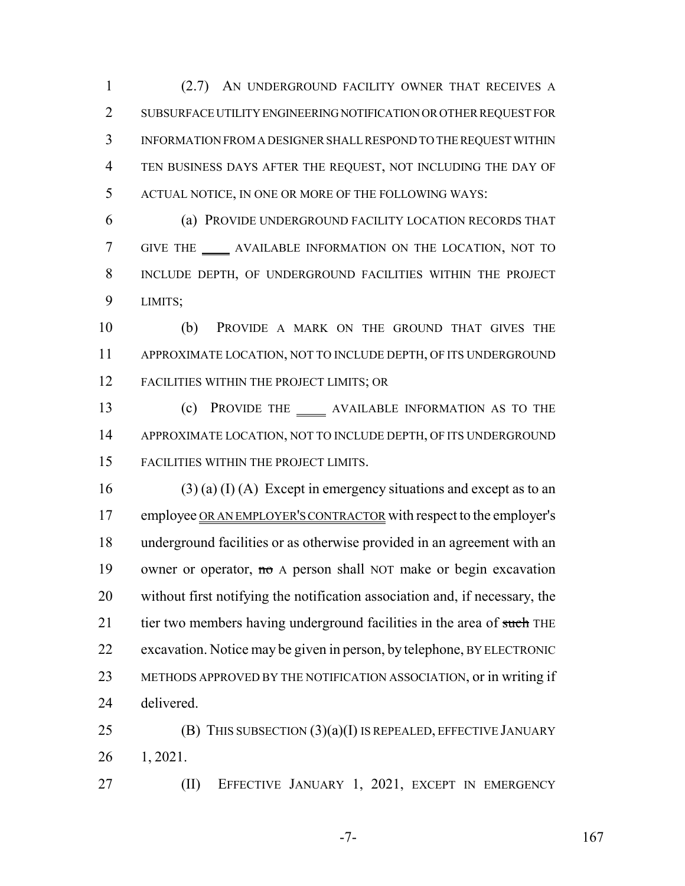(2.7) AN UNDERGROUND FACILITY OWNER THAT RECEIVES A SUBSURFACE UTILITY ENGINEERING NOTIFICATION OR OTHER REQUEST FOR INFORMATION FROM A DESIGNER SHALL RESPOND TO THE REQUEST WITHIN TEN BUSINESS DAYS AFTER THE REQUEST, NOT INCLUDING THE DAY OF ACTUAL NOTICE, IN ONE OR MORE OF THE FOLLOWING WAYS:

 (a) PROVIDE UNDERGROUND FACILITY LOCATION RECORDS THAT GIVE THE AVAILABLE INFORMATION ON THE LOCATION, NOT TO INCLUDE DEPTH, OF UNDERGROUND FACILITIES WITHIN THE PROJECT LIMITS;

 (b) PROVIDE A MARK ON THE GROUND THAT GIVES THE APPROXIMATE LOCATION, NOT TO INCLUDE DEPTH, OF ITS UNDERGROUND FACILITIES WITHIN THE PROJECT LIMITS; OR

13 (c) PROVIDE THE \_\_\_\_\_\_ AVAILABLE INFORMATION AS TO THE APPROXIMATE LOCATION, NOT TO INCLUDE DEPTH, OF ITS UNDERGROUND FACILITIES WITHIN THE PROJECT LIMITS.

16 (3) (a) (I) (A) Except in emergency situations and except as to an 17 employee OR AN EMPLOYER'S CONTRACTOR with respect to the employer's underground facilities or as otherwise provided in an agreement with an 19 owner or operator, no A person shall NOT make or begin excavation without first notifying the notification association and, if necessary, the 21 tier two members having underground facilities in the area of such THE excavation. Notice may be given in person, by telephone, BY ELECTRONIC METHODS APPROVED BY THE NOTIFICATION ASSOCIATION, or in writing if delivered.

25 (B) THIS SUBSECTION  $(3)(a)(I)$  IS REPEALED, EFFECTIVE JANUARY 1, 2021.

(II) EFFECTIVE JANUARY 1, 2021, EXCEPT IN EMERGENCY

 $-7-$  167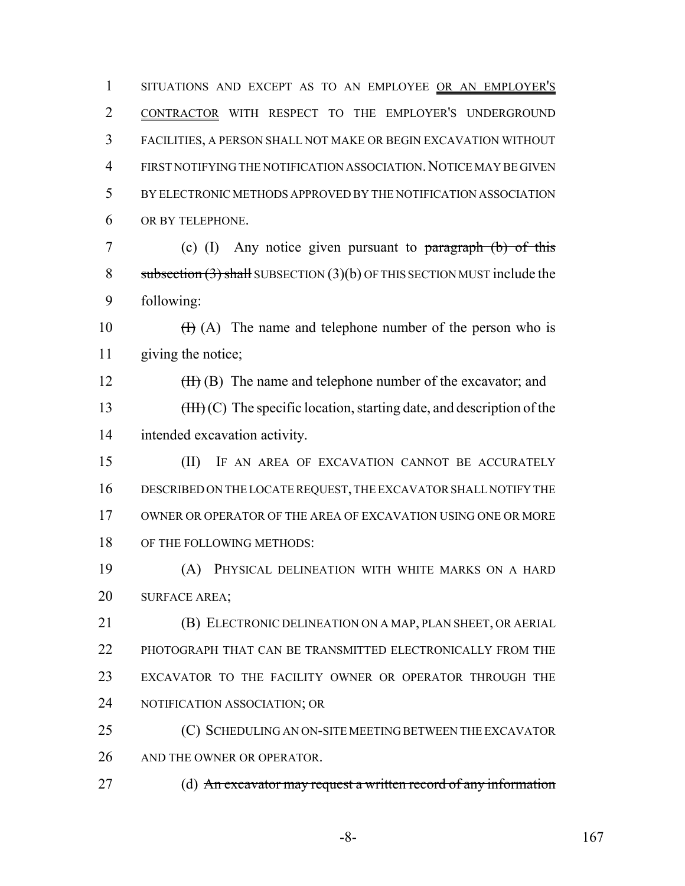SITUATIONS AND EXCEPT AS TO AN EMPLOYEE OR AN EMPLOYER'S CONTRACTOR WITH RESPECT TO THE EMPLOYER'S UNDERGROUND FACILITIES, A PERSON SHALL NOT MAKE OR BEGIN EXCAVATION WITHOUT FIRST NOTIFYING THE NOTIFICATION ASSOCIATION.NOTICE MAY BE GIVEN BY ELECTRONIC METHODS APPROVED BY THE NOTIFICATION ASSOCIATION OR BY TELEPHONE.

 (c) (I) Any notice given pursuant to paragraph (b) of this 8 subsection  $(3)$  shall SUBSECTION  $(3)(b)$  OF THIS SECTION MUST include the following:

10  $(H)(A)$  The name and telephone number of the person who is giving the notice;

12 (II) (B) The name and telephone number of the excavator; and 13 (III) (C) The specific location, starting date, and description of the intended excavation activity.

 (II) IF AN AREA OF EXCAVATION CANNOT BE ACCURATELY DESCRIBED ON THE LOCATE REQUEST, THE EXCAVATOR SHALL NOTIFY THE OWNER OR OPERATOR OF THE AREA OF EXCAVATION USING ONE OR MORE OF THE FOLLOWING METHODS:

 (A) PHYSICAL DELINEATION WITH WHITE MARKS ON A HARD SURFACE AREA;

 (B) ELECTRONIC DELINEATION ON A MAP, PLAN SHEET, OR AERIAL 22 PHOTOGRAPH THAT CAN BE TRANSMITTED ELECTRONICALLY FROM THE EXCAVATOR TO THE FACILITY OWNER OR OPERATOR THROUGH THE NOTIFICATION ASSOCIATION; OR

 (C) SCHEDULING AN ON-SITE MEETING BETWEEN THE EXCAVATOR AND THE OWNER OR OPERATOR.

27 (d) An excavator may request a written record of any information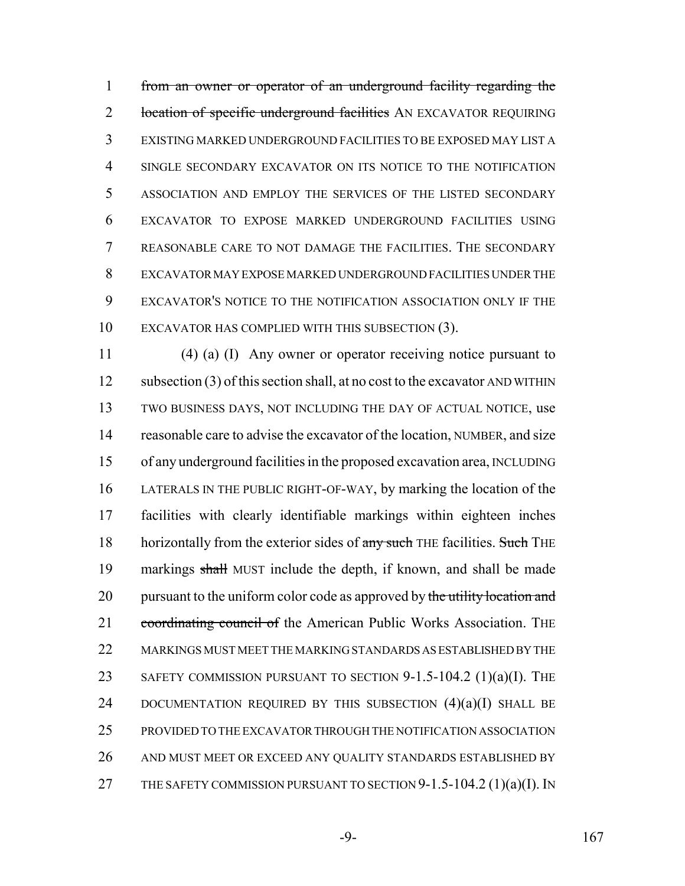from an owner or operator of an underground facility regarding the 2 location of specific underground facilities AN EXCAVATOR REQUIRING EXISTING MARKED UNDERGROUND FACILITIES TO BE EXPOSED MAY LIST A SINGLE SECONDARY EXCAVATOR ON ITS NOTICE TO THE NOTIFICATION ASSOCIATION AND EMPLOY THE SERVICES OF THE LISTED SECONDARY EXCAVATOR TO EXPOSE MARKED UNDERGROUND FACILITIES USING REASONABLE CARE TO NOT DAMAGE THE FACILITIES. THE SECONDARY EXCAVATOR MAY EXPOSE MARKED UNDERGROUND FACILITIES UNDER THE EXCAVATOR'S NOTICE TO THE NOTIFICATION ASSOCIATION ONLY IF THE EXCAVATOR HAS COMPLIED WITH THIS SUBSECTION (3).

 (4) (a) (I) Any owner or operator receiving notice pursuant to 12 subsection (3) of this section shall, at no cost to the excavator AND WITHIN TWO BUSINESS DAYS, NOT INCLUDING THE DAY OF ACTUAL NOTICE, use reasonable care to advise the excavator of the location, NUMBER, and size of any underground facilities in the proposed excavation area, INCLUDING LATERALS IN THE PUBLIC RIGHT-OF-WAY, by marking the location of the facilities with clearly identifiable markings within eighteen inches 18 horizontally from the exterior sides of any such THE facilities. Such THE markings shall MUST include the depth, if known, and shall be made 20 pursuant to the uniform color code as approved by the utility location and 21 coordinating council of the American Public Works Association. The MARKINGS MUST MEET THE MARKING STANDARDS AS ESTABLISHED BY THE 23 SAFETY COMMISSION PURSUANT TO SECTION 9-1.5-104.2 (1)(a)(I). THE 24 DOCUMENTATION REQUIRED BY THIS SUBSECTION  $(4)(a)(I)$  SHALL BE PROVIDED TO THE EXCAVATOR THROUGH THE NOTIFICATION ASSOCIATION AND MUST MEET OR EXCEED ANY QUALITY STANDARDS ESTABLISHED BY 27 THE SAFETY COMMISSION PURSUANT TO SECTION 9-1.5-104.2 (1)(a)(I). IN

-9- 167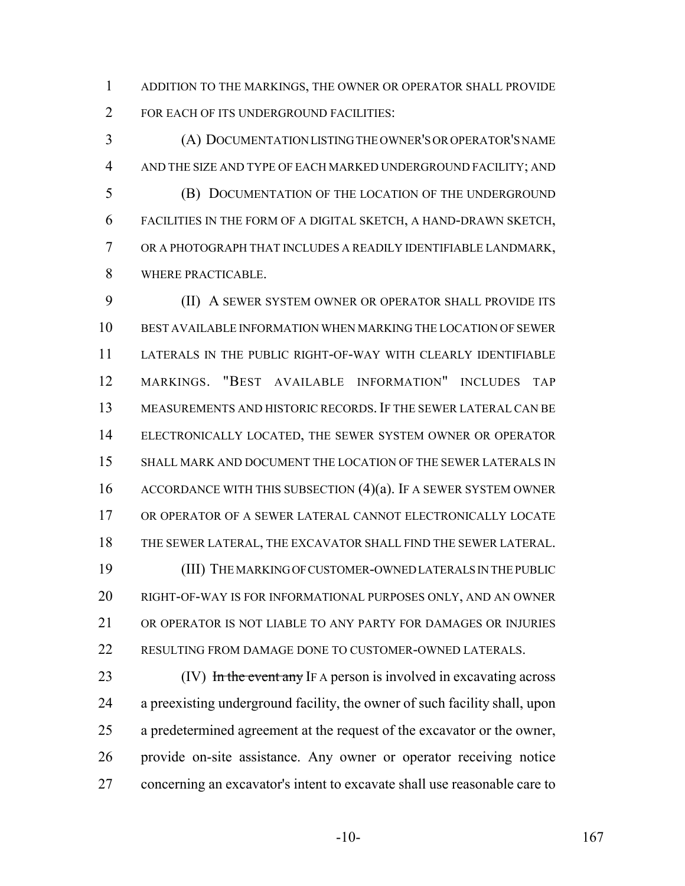ADDITION TO THE MARKINGS, THE OWNER OR OPERATOR SHALL PROVIDE 2 FOR EACH OF ITS UNDERGROUND FACILITIES:

 (A) DOCUMENTATION LISTING THE OWNER'S OR OPERATOR'S NAME AND THE SIZE AND TYPE OF EACH MARKED UNDERGROUND FACILITY; AND (B) DOCUMENTATION OF THE LOCATION OF THE UNDERGROUND FACILITIES IN THE FORM OF A DIGITAL SKETCH, A HAND-DRAWN SKETCH, OR A PHOTOGRAPH THAT INCLUDES A READILY IDENTIFIABLE LANDMARK, WHERE PRACTICABLE.

 (II) A SEWER SYSTEM OWNER OR OPERATOR SHALL PROVIDE ITS BEST AVAILABLE INFORMATION WHEN MARKING THE LOCATION OF SEWER LATERALS IN THE PUBLIC RIGHT-OF-WAY WITH CLEARLY IDENTIFIABLE MARKINGS. "BEST AVAILABLE INFORMATION" INCLUDES TAP MEASUREMENTS AND HISTORIC RECORDS.IF THE SEWER LATERAL CAN BE ELECTRONICALLY LOCATED, THE SEWER SYSTEM OWNER OR OPERATOR SHALL MARK AND DOCUMENT THE LOCATION OF THE SEWER LATERALS IN ACCORDANCE WITH THIS SUBSECTION (4)(a). IF A SEWER SYSTEM OWNER OR OPERATOR OF A SEWER LATERAL CANNOT ELECTRONICALLY LOCATE THE SEWER LATERAL, THE EXCAVATOR SHALL FIND THE SEWER LATERAL. (III) THE MARKING OF CUSTOMER-OWNED LATERALS IN THE PUBLIC RIGHT-OF-WAY IS FOR INFORMATIONAL PURPOSES ONLY, AND AN OWNER OR OPERATOR IS NOT LIABLE TO ANY PARTY FOR DAMAGES OR INJURIES RESULTING FROM DAMAGE DONE TO CUSTOMER-OWNED LATERALS.

23 (IV) In the event any IF A person is involved in excavating across a preexisting underground facility, the owner of such facility shall, upon a predetermined agreement at the request of the excavator or the owner, provide on-site assistance. Any owner or operator receiving notice concerning an excavator's intent to excavate shall use reasonable care to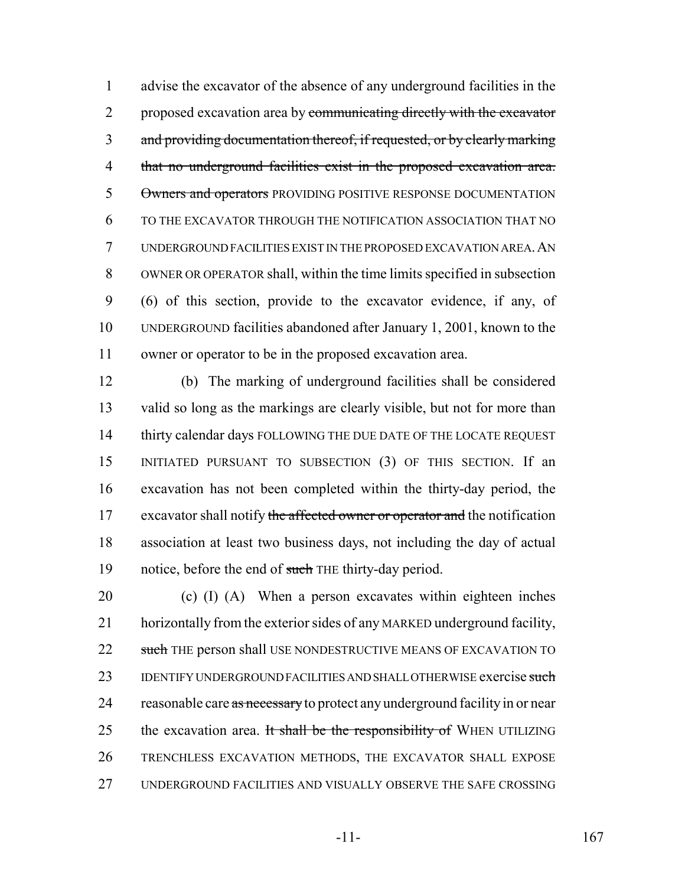advise the excavator of the absence of any underground facilities in the 2 proposed excavation area by communicating directly with the excavator and providing documentation thereof, if requested, or by clearly marking that no underground facilities exist in the proposed excavation area. 5 Owners and operators PROVIDING POSITIVE RESPONSE DOCUMENTATION TO THE EXCAVATOR THROUGH THE NOTIFICATION ASSOCIATION THAT NO UNDERGROUND FACILITIES EXIST IN THE PROPOSED EXCAVATION AREA.AN OWNER OR OPERATOR shall, within the time limits specified in subsection (6) of this section, provide to the excavator evidence, if any, of UNDERGROUND facilities abandoned after January 1, 2001, known to the owner or operator to be in the proposed excavation area.

 (b) The marking of underground facilities shall be considered valid so long as the markings are clearly visible, but not for more than 14 thirty calendar days FOLLOWING THE DUE DATE OF THE LOCATE REQUEST INITIATED PURSUANT TO SUBSECTION (3) OF THIS SECTION. If an excavation has not been completed within the thirty-day period, the 17 excavator shall notify the affected owner or operator and the notification association at least two business days, not including the day of actual 19 notice, before the end of such THE thirty-day period.

20 (c) (I) (A) When a person excavates within eighteen inches horizontally from the exterior sides of any MARKED underground facility, 22 such THE person shall USE NONDESTRUCTIVE MEANS OF EXCAVATION TO 23 IDENTIFY UNDERGROUND FACILITIES AND SHALL OTHERWISE exercise such 24 reasonable care as necessary to protect any underground facility in or near 25 the excavation area. It shall be the responsibility of WHEN UTILIZING TRENCHLESS EXCAVATION METHODS, THE EXCAVATOR SHALL EXPOSE UNDERGROUND FACILITIES AND VISUALLY OBSERVE THE SAFE CROSSING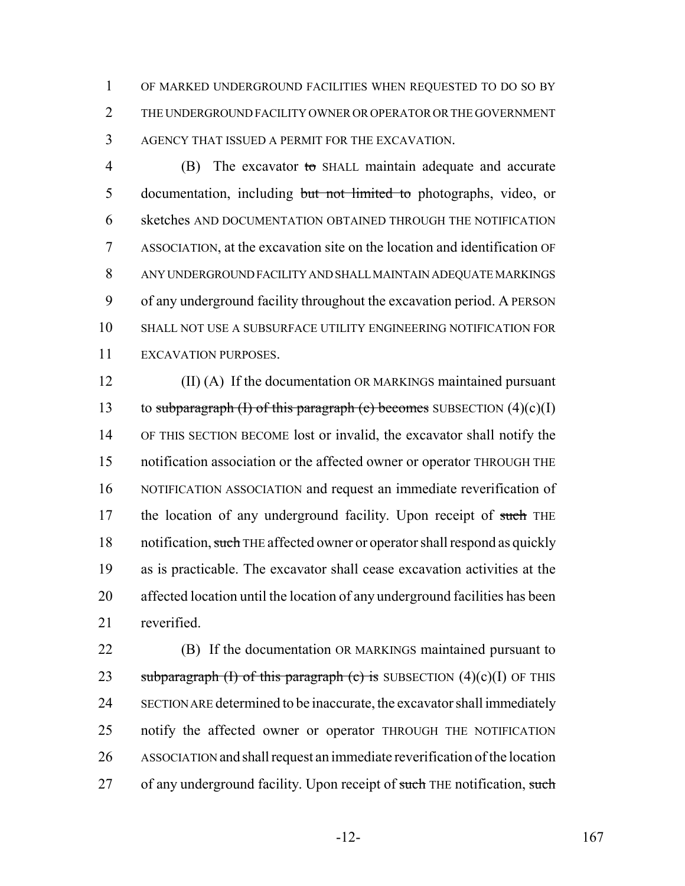OF MARKED UNDERGROUND FACILITIES WHEN REQUESTED TO DO SO BY THE UNDERGROUND FACILITY OWNER OR OPERATOR OR THE GOVERNMENT AGENCY THAT ISSUED A PERMIT FOR THE EXCAVATION.

 (B) The excavator to SHALL maintain adequate and accurate documentation, including but not limited to photographs, video, or sketches AND DOCUMENTATION OBTAINED THROUGH THE NOTIFICATION ASSOCIATION, at the excavation site on the location and identification OF ANY UNDERGROUND FACILITY AND SHALL MAINTAIN ADEQUATE MARKINGS of any underground facility throughout the excavation period. A PERSON SHALL NOT USE A SUBSURFACE UTILITY ENGINEERING NOTIFICATION FOR EXCAVATION PURPOSES.

 (II) (A) If the documentation OR MARKINGS maintained pursuant 13 to subparagraph (I) of this paragraph (c) becomes SUBSECTION  $(4)(c)(I)$  OF THIS SECTION BECOME lost or invalid, the excavator shall notify the notification association or the affected owner or operator THROUGH THE NOTIFICATION ASSOCIATION and request an immediate reverification of 17 the location of any underground facility. Upon receipt of such THE 18 notification, such THE affected owner or operator shall respond as quickly as is practicable. The excavator shall cease excavation activities at the affected location until the location of any underground facilities has been reverified.

 (B) If the documentation OR MARKINGS maintained pursuant to 23 subparagraph (I) of this paragraph (c) is SUBSECTION  $(4)(c)(I)$  OF THIS SECTION ARE determined to be inaccurate, the excavator shall immediately notify the affected owner or operator THROUGH THE NOTIFICATION ASSOCIATION and shall request an immediate reverification of the location 27 of any underground facility. Upon receipt of such THE notification, such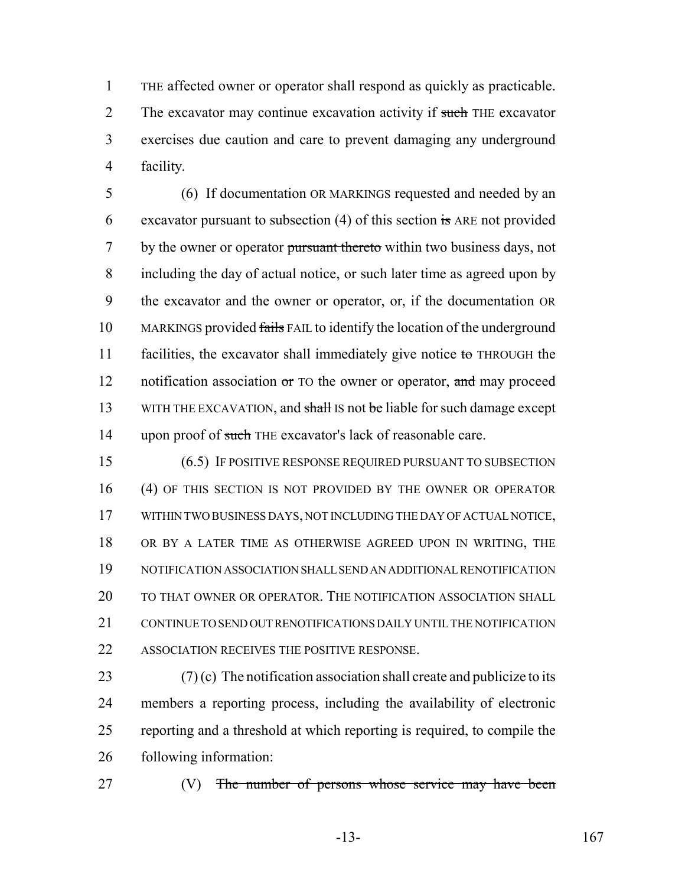THE affected owner or operator shall respond as quickly as practicable. 2 The excavator may continue excavation activity if such THE excavator exercises due caution and care to prevent damaging any underground facility.

 (6) If documentation OR MARKINGS requested and needed by an excavator pursuant to subsection (4) of this section is ARE not provided 7 by the owner or operator pursuant thereto within two business days, not including the day of actual notice, or such later time as agreed upon by the excavator and the owner or operator, or, if the documentation OR 10 MARKINGS provided fails FAIL to identify the location of the underground 11 facilities, the excavator shall immediately give notice  $\omega$  THROUGH the 12 notification association  $\sigma$  TO the owner or operator, and may proceed 13 WITH THE EXCAVATION, and shall IS not be liable for such damage except 14 upon proof of such THE excavator's lack of reasonable care.

 (6.5) IF POSITIVE RESPONSE REQUIRED PURSUANT TO SUBSECTION (4) OF THIS SECTION IS NOT PROVIDED BY THE OWNER OR OPERATOR WITHIN TWO BUSINESS DAYS, NOT INCLUDING THE DAY OF ACTUAL NOTICE, OR BY A LATER TIME AS OTHERWISE AGREED UPON IN WRITING, THE NOTIFICATION ASSOCIATION SHALL SEND AN ADDITIONAL RENOTIFICATION TO THAT OWNER OR OPERATOR. THE NOTIFICATION ASSOCIATION SHALL CONTINUE TO SEND OUT RENOTIFICATIONS DAILY UNTIL THE NOTIFICATION ASSOCIATION RECEIVES THE POSITIVE RESPONSE.

 $(7)(c)$  The notification association shall create and publicize to its members a reporting process, including the availability of electronic reporting and a threshold at which reporting is required, to compile the following information:

27 (V) The number of persons whose service may have been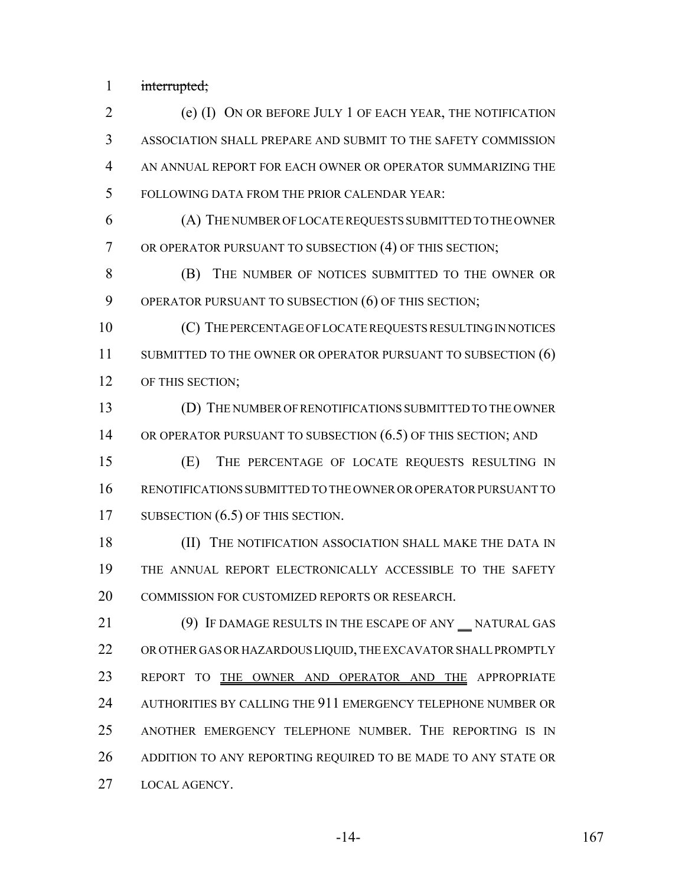interrupted;

 (e) (I) ON OR BEFORE JULY 1 OF EACH YEAR, THE NOTIFICATION ASSOCIATION SHALL PREPARE AND SUBMIT TO THE SAFETY COMMISSION AN ANNUAL REPORT FOR EACH OWNER OR OPERATOR SUMMARIZING THE FOLLOWING DATA FROM THE PRIOR CALENDAR YEAR:

 (A) THE NUMBER OF LOCATE REQUESTS SUBMITTED TO THE OWNER OR OPERATOR PURSUANT TO SUBSECTION (4) OF THIS SECTION;

 (B) THE NUMBER OF NOTICES SUBMITTED TO THE OWNER OR OPERATOR PURSUANT TO SUBSECTION (6) OF THIS SECTION;

 (C) THE PERCENTAGE OF LOCATE REQUESTS RESULTING IN NOTICES 11 SUBMITTED TO THE OWNER OR OPERATOR PURSUANT TO SUBSECTION (6) 12 OF THIS SECTION;

 (D) THE NUMBER OF RENOTIFICATIONS SUBMITTED TO THE OWNER 14 OR OPERATOR PURSUANT TO SUBSECTION  $(6.5)$  OF THIS SECTION; AND

 (E) THE PERCENTAGE OF LOCATE REQUESTS RESULTING IN RENOTIFICATIONS SUBMITTED TO THE OWNER OR OPERATOR PURSUANT TO 17 SUBSECTION (6.5) OF THIS SECTION.

**(II)** THE NOTIFICATION ASSOCIATION SHALL MAKE THE DATA IN THE ANNUAL REPORT ELECTRONICALLY ACCESSIBLE TO THE SAFETY COMMISSION FOR CUSTOMIZED REPORTS OR RESEARCH.

21 (9) IF DAMAGE RESULTS IN THE ESCAPE OF ANY NATURAL GAS OR OTHER GAS OR HAZARDOUS LIQUID, THE EXCAVATOR SHALL PROMPTLY 23 REPORT TO THE OWNER AND OPERATOR AND THE APPROPRIATE AUTHORITIES BY CALLING THE 911 EMERGENCY TELEPHONE NUMBER OR ANOTHER EMERGENCY TELEPHONE NUMBER. THE REPORTING IS IN 26 ADDITION TO ANY REPORTING REQUIRED TO BE MADE TO ANY STATE OR LOCAL AGENCY.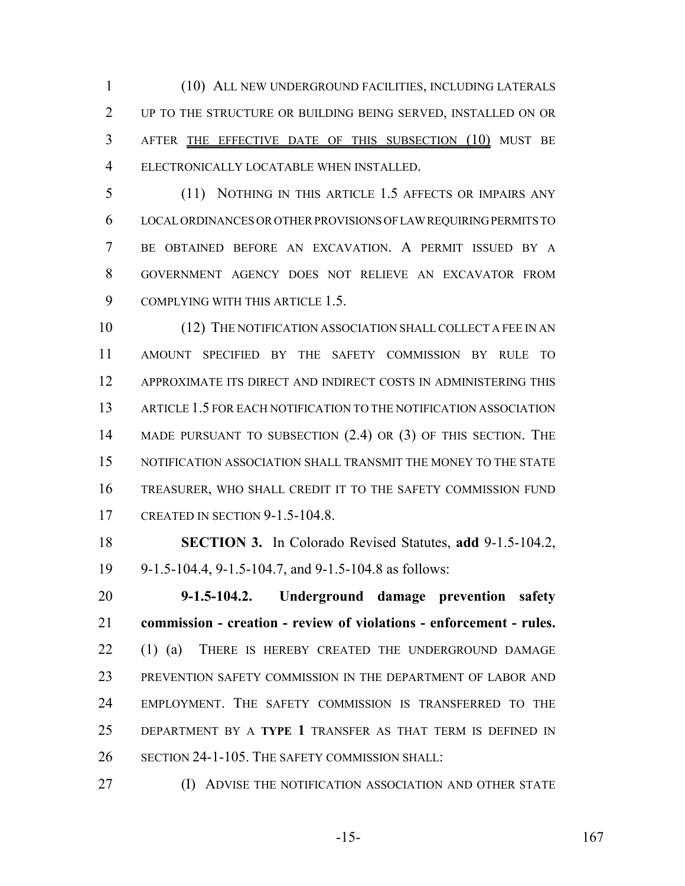(10) ALL NEW UNDERGROUND FACILITIES, INCLUDING LATERALS UP TO THE STRUCTURE OR BUILDING BEING SERVED, INSTALLED ON OR AFTER THE EFFECTIVE DATE OF THIS SUBSECTION (10) MUST BE ELECTRONICALLY LOCATABLE WHEN INSTALLED.

 (11) NOTHING IN THIS ARTICLE 1.5 AFFECTS OR IMPAIRS ANY LOCAL ORDINANCES OR OTHER PROVISIONS OF LAW REQUIRING PERMITS TO BE OBTAINED BEFORE AN EXCAVATION. A PERMIT ISSUED BY A GOVERNMENT AGENCY DOES NOT RELIEVE AN EXCAVATOR FROM 9 COMPLYING WITH THIS ARTICLE 1.5.

 (12) THE NOTIFICATION ASSOCIATION SHALL COLLECT A FEE IN AN AMOUNT SPECIFIED BY THE SAFETY COMMISSION BY RULE TO APPROXIMATE ITS DIRECT AND INDIRECT COSTS IN ADMINISTERING THIS ARTICLE 1.5 FOR EACH NOTIFICATION TO THE NOTIFICATION ASSOCIATION MADE PURSUANT TO SUBSECTION (2.4) OR (3) OF THIS SECTION. THE NOTIFICATION ASSOCIATION SHALL TRANSMIT THE MONEY TO THE STATE TREASURER, WHO SHALL CREDIT IT TO THE SAFETY COMMISSION FUND CREATED IN SECTION 9-1.5-104.8.

 **SECTION 3.** In Colorado Revised Statutes, **add** 9-1.5-104.2, 9-1.5-104.4, 9-1.5-104.7, and 9-1.5-104.8 as follows:

 **9-1.5-104.2. Underground damage prevention safety commission - creation - review of violations - enforcement - rules.** 22 (1) (a) THERE IS HEREBY CREATED THE UNDERGROUND DAMAGE PREVENTION SAFETY COMMISSION IN THE DEPARTMENT OF LABOR AND EMPLOYMENT. THE SAFETY COMMISSION IS TRANSFERRED TO THE DEPARTMENT BY A **TYPE 1** TRANSFER AS THAT TERM IS DEFINED IN SECTION 24-1-105. THE SAFETY COMMISSION SHALL:

**(I) ADVISE THE NOTIFICATION ASSOCIATION AND OTHER STATE** 

-15- 167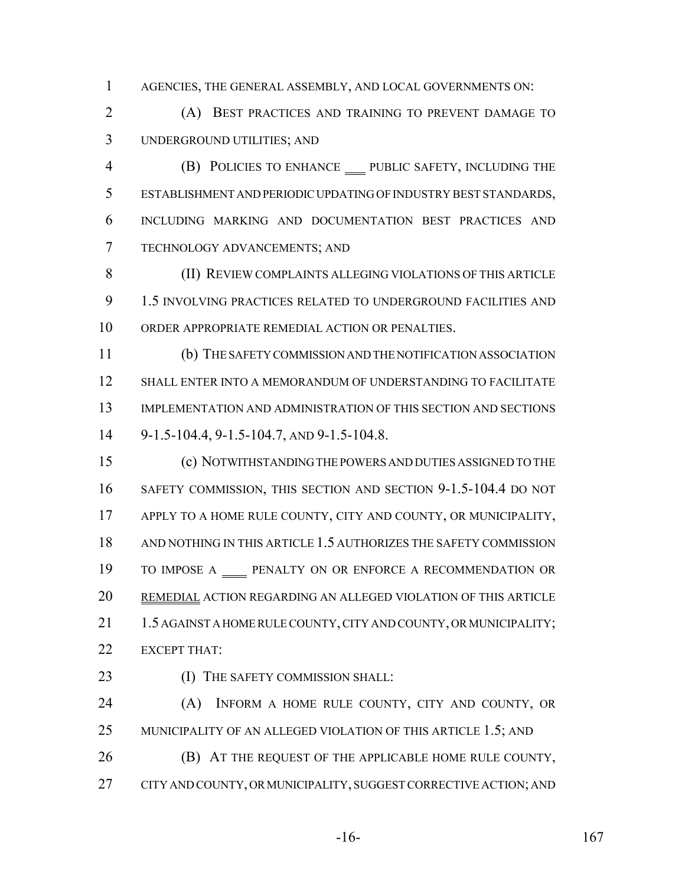AGENCIES, THE GENERAL ASSEMBLY, AND LOCAL GOVERNMENTS ON:

 (A) BEST PRACTICES AND TRAINING TO PREVENT DAMAGE TO UNDERGROUND UTILITIES; AND

 (B) POLICIES TO ENHANCE PUBLIC SAFETY, INCLUDING THE ESTABLISHMENT AND PERIODIC UPDATING OF INDUSTRY BEST STANDARDS, INCLUDING MARKING AND DOCUMENTATION BEST PRACTICES AND TECHNOLOGY ADVANCEMENTS; AND

 (II) REVIEW COMPLAINTS ALLEGING VIOLATIONS OF THIS ARTICLE 1.5 INVOLVING PRACTICES RELATED TO UNDERGROUND FACILITIES AND ORDER APPROPRIATE REMEDIAL ACTION OR PENALTIES.

 (b) THE SAFETY COMMISSION AND THE NOTIFICATION ASSOCIATION SHALL ENTER INTO A MEMORANDUM OF UNDERSTANDING TO FACILITATE IMPLEMENTATION AND ADMINISTRATION OF THIS SECTION AND SECTIONS 9-1.5-104.4, 9-1.5-104.7, AND 9-1.5-104.8.

 (c) NOTWITHSTANDING THE POWERS AND DUTIES ASSIGNED TO THE SAFETY COMMISSION, THIS SECTION AND SECTION 9-1.5-104.4 DO NOT APPLY TO A HOME RULE COUNTY, CITY AND COUNTY, OR MUNICIPALITY, AND NOTHING IN THIS ARTICLE 1.5 AUTHORIZES THE SAFETY COMMISSION 19 TO IMPOSE A \_\_\_\_ PENALTY ON OR ENFORCE A RECOMMENDATION OR REMEDIAL ACTION REGARDING AN ALLEGED VIOLATION OF THIS ARTICLE 21 1.5 AGAINST A HOME RULE COUNTY, CITY AND COUNTY, OR MUNICIPALITY; EXCEPT THAT:

23 (I) THE SAFETY COMMISSION SHALL:

 (A) INFORM A HOME RULE COUNTY, CITY AND COUNTY, OR 25 MUNICIPALITY OF AN ALLEGED VIOLATION OF THIS ARTICLE 1.5; AND (B) AT THE REQUEST OF THE APPLICABLE HOME RULE COUNTY,

CITY AND COUNTY, OR MUNICIPALITY, SUGGEST CORRECTIVE ACTION; AND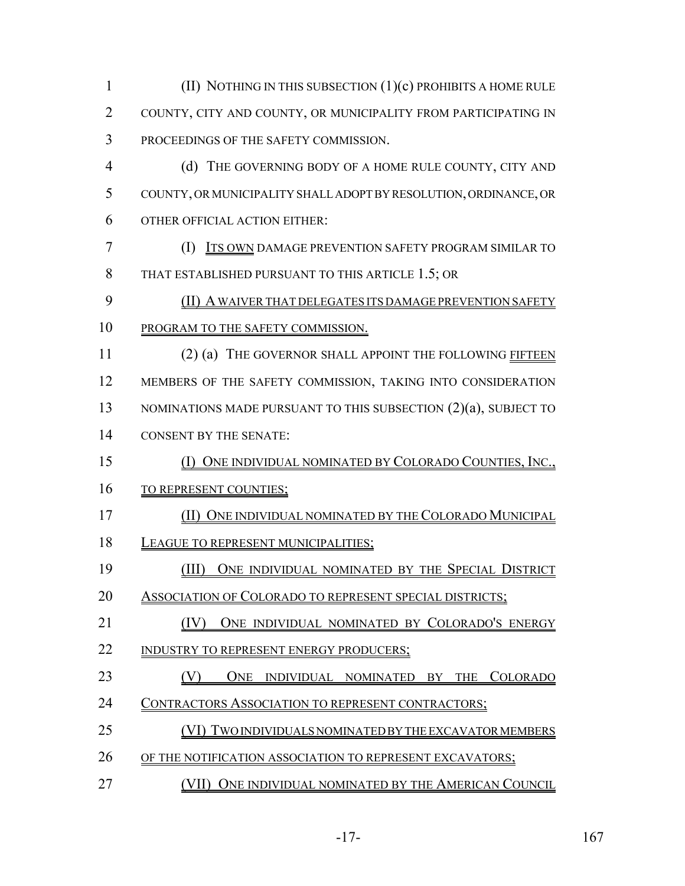| $\mathbf{1}$   | (II) NOTHING IN THIS SUBSECTION $(1)(c)$ PROHIBITS A HOME RULE   |
|----------------|------------------------------------------------------------------|
| $\overline{2}$ | COUNTY, CITY AND COUNTY, OR MUNICIPALITY FROM PARTICIPATING IN   |
| 3              | PROCEEDINGS OF THE SAFETY COMMISSION.                            |
| $\overline{4}$ | (d) THE GOVERNING BODY OF A HOME RULE COUNTY, CITY AND           |
| 5              | COUNTY, OR MUNICIPALITY SHALL ADOPT BY RESOLUTION, ORDINANCE, OR |
| 6              | OTHER OFFICIAL ACTION EITHER:                                    |
| $\overline{7}$ | (I) ITS OWN DAMAGE PREVENTION SAFETY PROGRAM SIMILAR TO          |
| 8              | THAT ESTABLISHED PURSUANT TO THIS ARTICLE 1.5; OR                |
| 9              | (II) A WAIVER THAT DELEGATES ITS DAMAGE PREVENTION SAFETY        |
| 10             | PROGRAM TO THE SAFETY COMMISSION.                                |
| 11             | (2) (a) THE GOVERNOR SHALL APPOINT THE FOLLOWING FIFTEEN         |
| 12             | MEMBERS OF THE SAFETY COMMISSION, TAKING INTO CONSIDERATION      |
| 13             | NOMINATIONS MADE PURSUANT TO THIS SUBSECTION (2)(a), SUBJECT TO  |
| 14             | <b>CONSENT BY THE SENATE:</b>                                    |
| 15             | (I) ONE INDIVIDUAL NOMINATED BY COLORADO COUNTIES, INC.,         |
| 16             | TO REPRESENT COUNTIES;                                           |
| 17             | (II) ONE INDIVIDUAL NOMINATED BY THE COLORADO MUNICIPAL          |
| 18             | <b>LEAGUE TO REPRESENT MUNICIPALITIES:</b>                       |
| 19             | (III) ONE INDIVIDUAL NOMINATED BY THE SPECIAL DISTRICT           |
| 20             | <b>ASSOCIATION OF COLORADO TO REPRESENT SPECIAL DISTRICTS;</b>   |
| 21             | (IV) ONE INDIVIDUAL NOMINATED BY COLORADO'S ENERGY               |
| 22             | <b>INDUSTRY TO REPRESENT ENERGY PRODUCERS:</b>                   |
| 23             | ONE INDIVIDUAL NOMINATED BY THE COLORADO                         |
| 24             | <u>CONTRACTORS ASSOCIATION TO REPRESENT CONTRACTORS;</u>         |
| 25             | (VI) TWO INDIVIDUALS NOMINATED BY THE EXCAVATOR MEMBERS          |
| 26             | OF THE NOTIFICATION ASSOCIATION TO REPRESENT EXCAVATORS;         |
| 27             | (VII) ONE INDIVIDUAL NOMINATED BY THE AMERICAN COUNCIL           |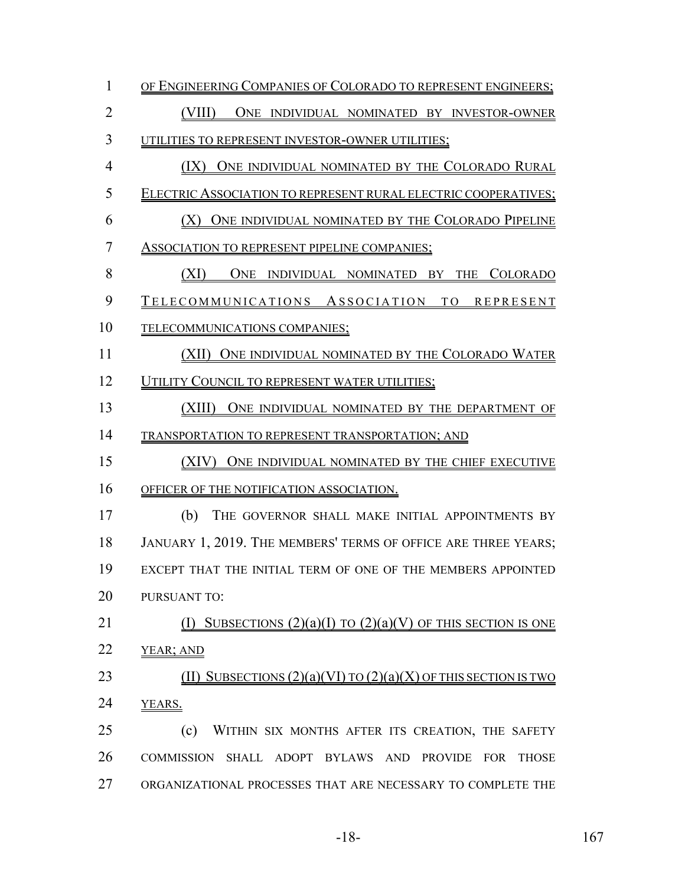| 1              | OF ENGINEERING COMPANIES OF COLORADO TO REPRESENT ENGINEERS;                      |  |  |  |  |  |  |
|----------------|-----------------------------------------------------------------------------------|--|--|--|--|--|--|
| $\overline{2}$ | (VIII)<br>ONE INDIVIDUAL NOMINATED BY INVESTOR-OWNER                              |  |  |  |  |  |  |
| 3              | UTILITIES TO REPRESENT INVESTOR-OWNER UTILITIES;                                  |  |  |  |  |  |  |
| $\overline{4}$ | (IX) ONE INDIVIDUAL NOMINATED BY THE COLORADO RURAL                               |  |  |  |  |  |  |
| 5              | ELECTRIC ASSOCIATION TO REPRESENT RURAL ELECTRIC COOPERATIVES;                    |  |  |  |  |  |  |
| 6              | ONE INDIVIDUAL NOMINATED BY THE COLORADO PIPELINE<br>(X)                          |  |  |  |  |  |  |
| 7              | ASSOCIATION TO REPRESENT PIPELINE COMPANIES;                                      |  |  |  |  |  |  |
| 8              | (XI)<br>ONE INDIVIDUAL NOMINATED BY THE COLORADO                                  |  |  |  |  |  |  |
| 9              | TELECOMMUNICATIONS ASSOCIATION TO REPRESENT                                       |  |  |  |  |  |  |
| 10             | TELECOMMUNICATIONS COMPANIES;                                                     |  |  |  |  |  |  |
| 11             | (XII) ONE INDIVIDUAL NOMINATED BY THE COLORADO WATER                              |  |  |  |  |  |  |
| 12             | UTILITY COUNCIL TO REPRESENT WATER UTILITIES;                                     |  |  |  |  |  |  |
| 13             | (XIII)<br>ONE INDIVIDUAL NOMINATED BY THE DEPARTMENT OF                           |  |  |  |  |  |  |
| 14             | TRANSPORTATION TO REPRESENT TRANSPORTATION; AND                                   |  |  |  |  |  |  |
| 15             | (XIV) ONE INDIVIDUAL NOMINATED BY THE CHIEF EXECUTIVE                             |  |  |  |  |  |  |
| 16             | OFFICER OF THE NOTIFICATION ASSOCIATION.                                          |  |  |  |  |  |  |
| 17             | (b)<br>THE GOVERNOR SHALL MAKE INITIAL APPOINTMENTS BY                            |  |  |  |  |  |  |
| 18             | JANUARY 1, 2019. THE MEMBERS' TERMS OF OFFICE ARE THREE YEARS;                    |  |  |  |  |  |  |
| 19             | EXCEPT THAT THE INITIAL TERM OF ONE OF THE MEMBERS APPOINTED                      |  |  |  |  |  |  |
| 20             | <b>PURSUANT TO:</b>                                                               |  |  |  |  |  |  |
| 21             | SUBSECTIONS $(2)(a)(I)$ TO $(2)(a)(V)$ OF THIS SECTION IS ONE                     |  |  |  |  |  |  |
| 22             | YEAR; AND                                                                         |  |  |  |  |  |  |
| 23             | SUBSECTIONS $(2)(a)(VI)$ TO $(2)(a)(X)$ OF THIS SECTION IS TWO                    |  |  |  |  |  |  |
| 24             | YEARS.                                                                            |  |  |  |  |  |  |
| 25             | (c)<br>WITHIN SIX MONTHS AFTER ITS CREATION, THE SAFETY                           |  |  |  |  |  |  |
| 26             | COMMISSION SHALL ADOPT BYLAWS AND<br><b>PROVIDE</b><br><b>FOR</b><br><b>THOSE</b> |  |  |  |  |  |  |
| 27             | ORGANIZATIONAL PROCESSES THAT ARE NECESSARY TO COMPLETE THE                       |  |  |  |  |  |  |

-18- 167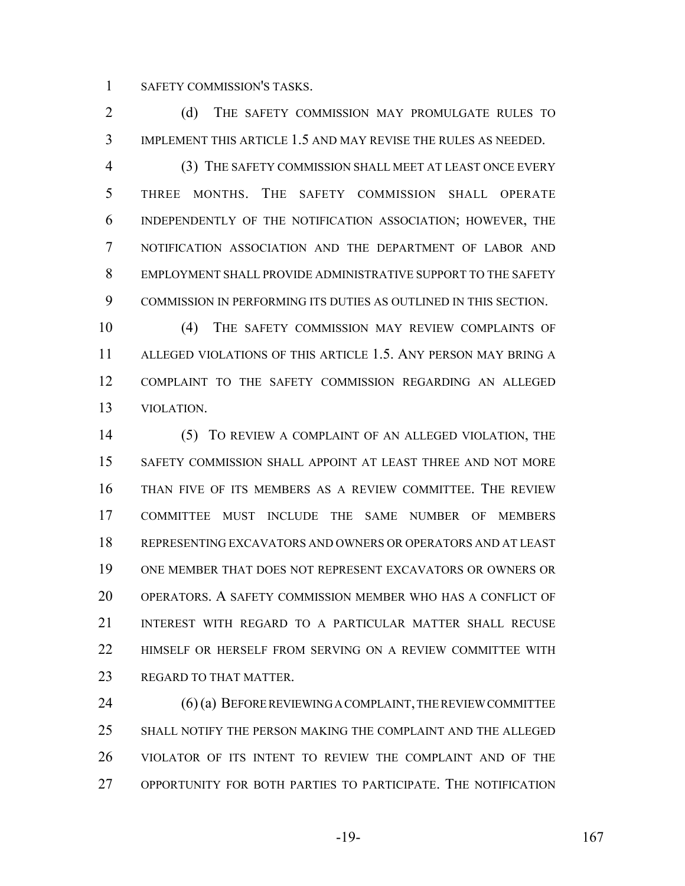SAFETY COMMISSION'S TASKS.

2 (d) THE SAFETY COMMISSION MAY PROMULGATE RULES TO IMPLEMENT THIS ARTICLE 1.5 AND MAY REVISE THE RULES AS NEEDED.

 (3) THE SAFETY COMMISSION SHALL MEET AT LEAST ONCE EVERY THREE MONTHS. THE SAFETY COMMISSION SHALL OPERATE INDEPENDENTLY OF THE NOTIFICATION ASSOCIATION; HOWEVER, THE NOTIFICATION ASSOCIATION AND THE DEPARTMENT OF LABOR AND EMPLOYMENT SHALL PROVIDE ADMINISTRATIVE SUPPORT TO THE SAFETY COMMISSION IN PERFORMING ITS DUTIES AS OUTLINED IN THIS SECTION.

 (4) THE SAFETY COMMISSION MAY REVIEW COMPLAINTS OF ALLEGED VIOLATIONS OF THIS ARTICLE 1.5. ANY PERSON MAY BRING A COMPLAINT TO THE SAFETY COMMISSION REGARDING AN ALLEGED VIOLATION.

 (5) TO REVIEW A COMPLAINT OF AN ALLEGED VIOLATION, THE SAFETY COMMISSION SHALL APPOINT AT LEAST THREE AND NOT MORE THAN FIVE OF ITS MEMBERS AS A REVIEW COMMITTEE. THE REVIEW COMMITTEE MUST INCLUDE THE SAME NUMBER OF MEMBERS REPRESENTING EXCAVATORS AND OWNERS OR OPERATORS AND AT LEAST ONE MEMBER THAT DOES NOT REPRESENT EXCAVATORS OR OWNERS OR OPERATORS. A SAFETY COMMISSION MEMBER WHO HAS A CONFLICT OF INTEREST WITH REGARD TO A PARTICULAR MATTER SHALL RECUSE HIMSELF OR HERSELF FROM SERVING ON A REVIEW COMMITTEE WITH 23 REGARD TO THAT MATTER.

24 (6) (a) BEFORE REVIEWING A COMPLAINT, THE REVIEW COMMITTEE SHALL NOTIFY THE PERSON MAKING THE COMPLAINT AND THE ALLEGED VIOLATOR OF ITS INTENT TO REVIEW THE COMPLAINT AND OF THE OPPORTUNITY FOR BOTH PARTIES TO PARTICIPATE. THE NOTIFICATION

 $-19-$  167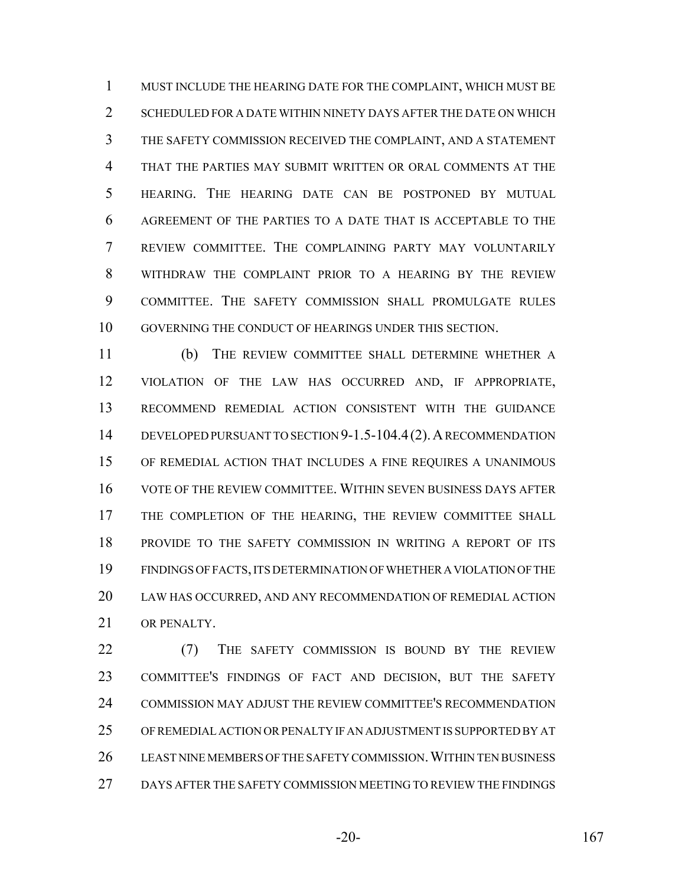MUST INCLUDE THE HEARING DATE FOR THE COMPLAINT, WHICH MUST BE 2 SCHEDULED FOR A DATE WITHIN NINETY DAYS AFTER THE DATE ON WHICH THE SAFETY COMMISSION RECEIVED THE COMPLAINT, AND A STATEMENT THAT THE PARTIES MAY SUBMIT WRITTEN OR ORAL COMMENTS AT THE HEARING. THE HEARING DATE CAN BE POSTPONED BY MUTUAL AGREEMENT OF THE PARTIES TO A DATE THAT IS ACCEPTABLE TO THE REVIEW COMMITTEE. THE COMPLAINING PARTY MAY VOLUNTARILY WITHDRAW THE COMPLAINT PRIOR TO A HEARING BY THE REVIEW COMMITTEE. THE SAFETY COMMISSION SHALL PROMULGATE RULES GOVERNING THE CONDUCT OF HEARINGS UNDER THIS SECTION.

 (b) THE REVIEW COMMITTEE SHALL DETERMINE WHETHER A VIOLATION OF THE LAW HAS OCCURRED AND, IF APPROPRIATE, RECOMMEND REMEDIAL ACTION CONSISTENT WITH THE GUIDANCE DEVELOPED PURSUANT TO SECTION 9-1.5-104.4(2).A RECOMMENDATION OF REMEDIAL ACTION THAT INCLUDES A FINE REQUIRES A UNANIMOUS VOTE OF THE REVIEW COMMITTEE. WITHIN SEVEN BUSINESS DAYS AFTER THE COMPLETION OF THE HEARING, THE REVIEW COMMITTEE SHALL PROVIDE TO THE SAFETY COMMISSION IN WRITING A REPORT OF ITS FINDINGS OF FACTS, ITS DETERMINATION OF WHETHER A VIOLATION OF THE LAW HAS OCCURRED, AND ANY RECOMMENDATION OF REMEDIAL ACTION OR PENALTY.

22 (7) THE SAFETY COMMISSION IS BOUND BY THE REVIEW COMMITTEE'S FINDINGS OF FACT AND DECISION, BUT THE SAFETY COMMISSION MAY ADJUST THE REVIEW COMMITTEE'S RECOMMENDATION OF REMEDIAL ACTION OR PENALTY IF AN ADJUSTMENT IS SUPPORTED BY AT 26 LEAST NINE MEMBERS OF THE SAFETY COMMISSION. WITHIN TEN BUSINESS DAYS AFTER THE SAFETY COMMISSION MEETING TO REVIEW THE FINDINGS

-20- 167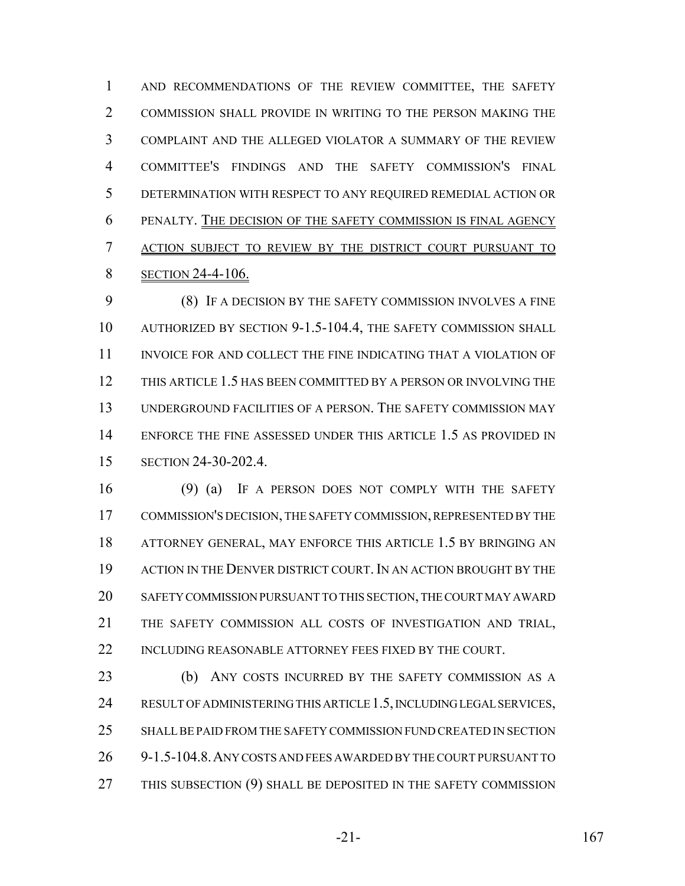AND RECOMMENDATIONS OF THE REVIEW COMMITTEE, THE SAFETY COMMISSION SHALL PROVIDE IN WRITING TO THE PERSON MAKING THE COMPLAINT AND THE ALLEGED VIOLATOR A SUMMARY OF THE REVIEW COMMITTEE'S FINDINGS AND THE SAFETY COMMISSION'S FINAL DETERMINATION WITH RESPECT TO ANY REQUIRED REMEDIAL ACTION OR PENALTY. THE DECISION OF THE SAFETY COMMISSION IS FINAL AGENCY ACTION SUBJECT TO REVIEW BY THE DISTRICT COURT PURSUANT TO **SECTION 24-4-106.** 

 (8) IF A DECISION BY THE SAFETY COMMISSION INVOLVES A FINE AUTHORIZED BY SECTION 9-1.5-104.4, THE SAFETY COMMISSION SHALL INVOICE FOR AND COLLECT THE FINE INDICATING THAT A VIOLATION OF THIS ARTICLE 1.5 HAS BEEN COMMITTED BY A PERSON OR INVOLVING THE UNDERGROUND FACILITIES OF A PERSON. THE SAFETY COMMISSION MAY ENFORCE THE FINE ASSESSED UNDER THIS ARTICLE 1.5 AS PROVIDED IN SECTION 24-30-202.4.

 (9) (a) IF A PERSON DOES NOT COMPLY WITH THE SAFETY COMMISSION'S DECISION, THE SAFETY COMMISSION, REPRESENTED BY THE ATTORNEY GENERAL, MAY ENFORCE THIS ARTICLE 1.5 BY BRINGING AN 19 ACTION IN THE DENVER DISTRICT COURT. IN AN ACTION BROUGHT BY THE SAFETY COMMISSION PURSUANT TO THIS SECTION, THE COURT MAY AWARD THE SAFETY COMMISSION ALL COSTS OF INVESTIGATION AND TRIAL, 22 INCLUDING REASONABLE ATTORNEY FEES FIXED BY THE COURT.

 (b) ANY COSTS INCURRED BY THE SAFETY COMMISSION AS A RESULT OF ADMINISTERING THIS ARTICLE 1.5, INCLUDING LEGAL SERVICES, SHALL BE PAID FROM THE SAFETY COMMISSION FUND CREATED IN SECTION 9-1.5-104.8.ANY COSTS AND FEES AWARDED BY THE COURT PURSUANT TO 27 THIS SUBSECTION (9) SHALL BE DEPOSITED IN THE SAFETY COMMISSION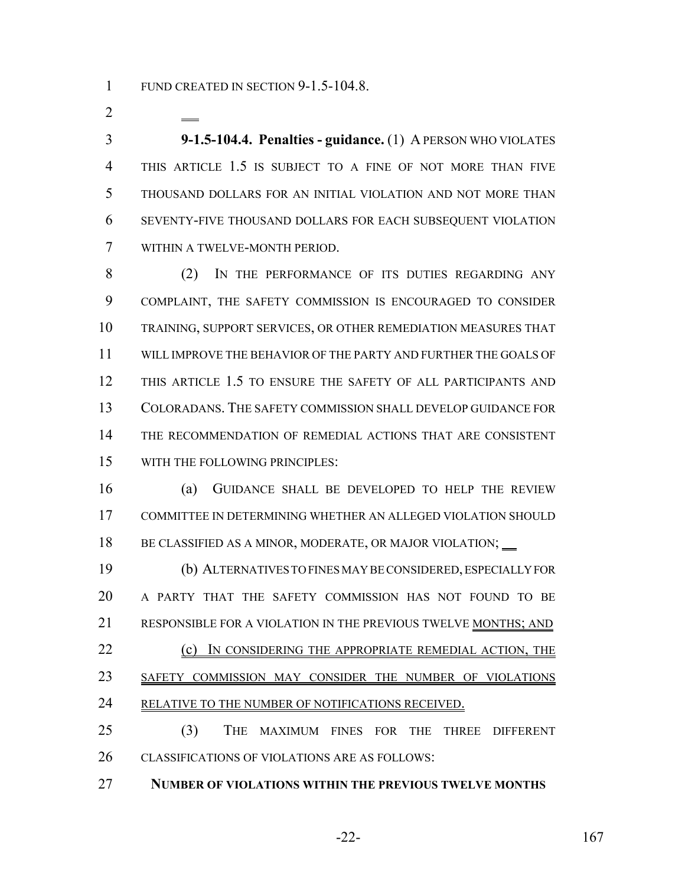1 FUND CREATED IN SECTION 9-1.5-104.8.

 **9-1.5-104.4. Penalties - guidance.** (1) A PERSON WHO VIOLATES THIS ARTICLE 1.5 IS SUBJECT TO A FINE OF NOT MORE THAN FIVE THOUSAND DOLLARS FOR AN INITIAL VIOLATION AND NOT MORE THAN SEVENTY-FIVE THOUSAND DOLLARS FOR EACH SUBSEQUENT VIOLATION WITHIN A TWELVE-MONTH PERIOD.

 (2) IN THE PERFORMANCE OF ITS DUTIES REGARDING ANY COMPLAINT, THE SAFETY COMMISSION IS ENCOURAGED TO CONSIDER TRAINING, SUPPORT SERVICES, OR OTHER REMEDIATION MEASURES THAT WILL IMPROVE THE BEHAVIOR OF THE PARTY AND FURTHER THE GOALS OF THIS ARTICLE 1.5 TO ENSURE THE SAFETY OF ALL PARTICIPANTS AND COLORADANS. THE SAFETY COMMISSION SHALL DEVELOP GUIDANCE FOR THE RECOMMENDATION OF REMEDIAL ACTIONS THAT ARE CONSISTENT WITH THE FOLLOWING PRINCIPLES:

 (a) GUIDANCE SHALL BE DEVELOPED TO HELP THE REVIEW COMMITTEE IN DETERMINING WHETHER AN ALLEGED VIOLATION SHOULD 18 BE CLASSIFIED AS A MINOR, MODERATE, OR MAJOR VIOLATION;

 (b) ALTERNATIVES TO FINES MAY BE CONSIDERED, ESPECIALLY FOR A PARTY THAT THE SAFETY COMMISSION HAS NOT FOUND TO BE RESPONSIBLE FOR A VIOLATION IN THE PREVIOUS TWELVE MONTHS; AND 22 (c) IN CONSIDERING THE APPROPRIATE REMEDIAL ACTION, THE SAFETY COMMISSION MAY CONSIDER THE NUMBER OF VIOLATIONS 24 RELATIVE TO THE NUMBER OF NOTIFICATIONS RECEIVED. (3) THE MAXIMUM FINES FOR THE THREE DIFFERENT

CLASSIFICATIONS OF VIOLATIONS ARE AS FOLLOWS:

**NUMBER OF VIOLATIONS WITHIN THE PREVIOUS TWELVE MONTHS**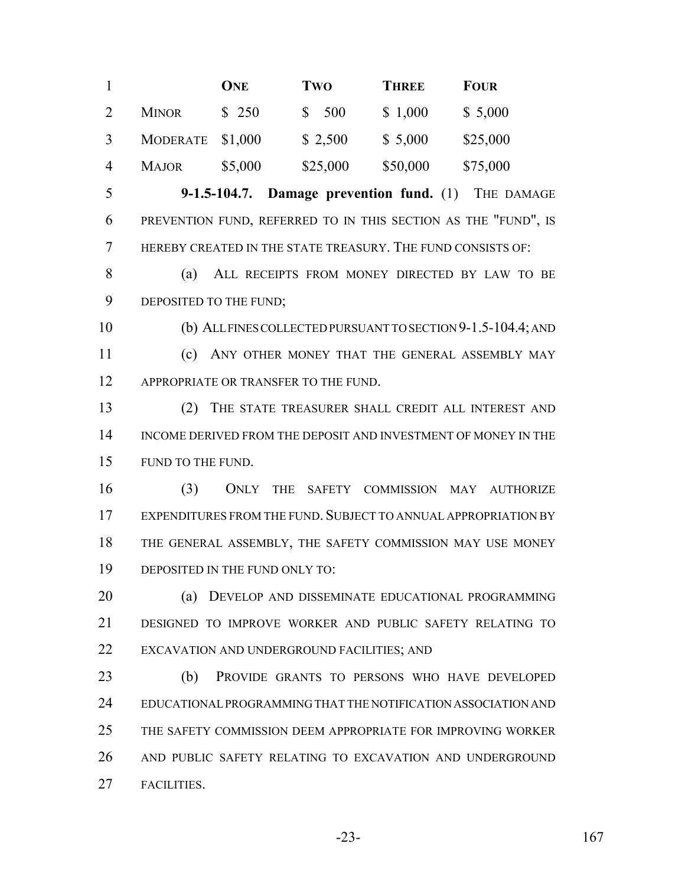|                |                  | <b>ONE</b> | Two      | <b>THREE</b> | <b>FOUR</b> |
|----------------|------------------|------------|----------|--------------|-------------|
| 2              | <b>MINOR</b>     | \$250      | \$500    | \$1,000      | \$5,000     |
|                | MODERATE \$1,000 |            | \$2,500  | \$5,000      | \$25,000    |
| $\overline{A}$ | <b>MAJOR</b>     | \$5,000    | \$25,000 | \$50,000     | \$75,000    |

 **9-1.5-104.7. Damage prevention fund.** (1) THE DAMAGE PREVENTION FUND, REFERRED TO IN THIS SECTION AS THE "FUND", IS HEREBY CREATED IN THE STATE TREASURY. THE FUND CONSISTS OF:

 (a) ALL RECEIPTS FROM MONEY DIRECTED BY LAW TO BE 9 DEPOSITED TO THE FUND;

 (b) ALL FINES COLLECTED PURSUANT TO SECTION 9-1.5-104.4; AND (c) ANY OTHER MONEY THAT THE GENERAL ASSEMBLY MAY 12 APPROPRIATE OR TRANSFER TO THE FUND.

 (2) THE STATE TREASURER SHALL CREDIT ALL INTEREST AND INCOME DERIVED FROM THE DEPOSIT AND INVESTMENT OF MONEY IN THE FUND TO THE FUND.

 (3) ONLY THE SAFETY COMMISSION MAY AUTHORIZE EXPENDITURES FROM THE FUND. SUBJECT TO ANNUAL APPROPRIATION BY THE GENERAL ASSEMBLY, THE SAFETY COMMISSION MAY USE MONEY DEPOSITED IN THE FUND ONLY TO:

 (a) DEVELOP AND DISSEMINATE EDUCATIONAL PROGRAMMING DESIGNED TO IMPROVE WORKER AND PUBLIC SAFETY RELATING TO EXCAVATION AND UNDERGROUND FACILITIES; AND

 (b) PROVIDE GRANTS TO PERSONS WHO HAVE DEVELOPED EDUCATIONAL PROGRAMMING THAT THE NOTIFICATION ASSOCIATION AND THE SAFETY COMMISSION DEEM APPROPRIATE FOR IMPROVING WORKER AND PUBLIC SAFETY RELATING TO EXCAVATION AND UNDERGROUND FACILITIES.

-23- 167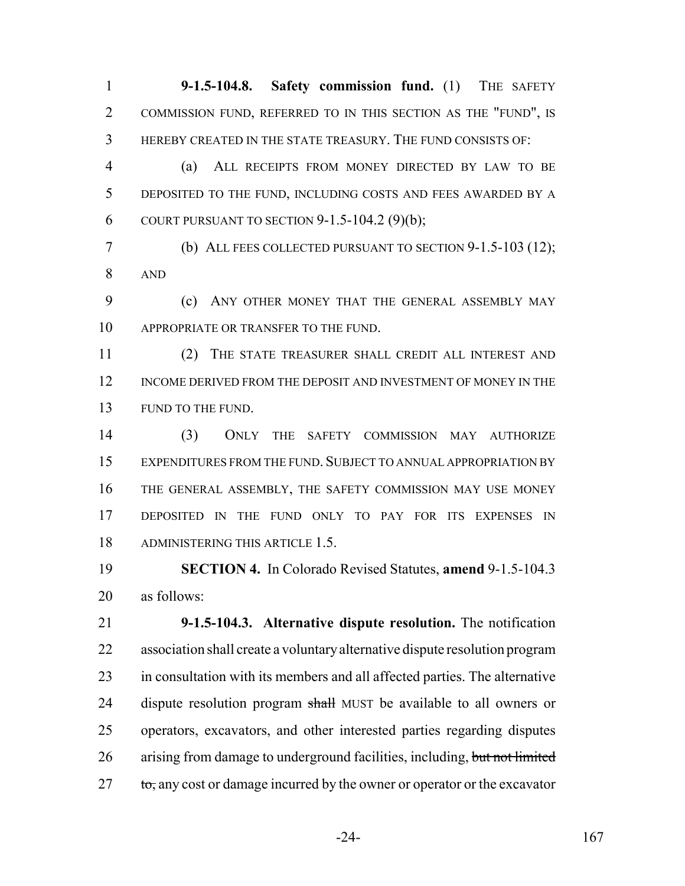**9-1.5-104.8. Safety commission fund.** (1) THE SAFETY COMMISSION FUND, REFERRED TO IN THIS SECTION AS THE "FUND", IS HEREBY CREATED IN THE STATE TREASURY. THE FUND CONSISTS OF:

 (a) ALL RECEIPTS FROM MONEY DIRECTED BY LAW TO BE DEPOSITED TO THE FUND, INCLUDING COSTS AND FEES AWARDED BY A 6 COURT PURSUANT TO SECTION  $9-1.5-104.2$  (9)(b);

 (b) ALL FEES COLLECTED PURSUANT TO SECTION 9-1.5-103 (12); AND

 (c) ANY OTHER MONEY THAT THE GENERAL ASSEMBLY MAY APPROPRIATE OR TRANSFER TO THE FUND.

 (2) THE STATE TREASURER SHALL CREDIT ALL INTEREST AND INCOME DERIVED FROM THE DEPOSIT AND INVESTMENT OF MONEY IN THE FUND TO THE FUND.

 (3) ONLY THE SAFETY COMMISSION MAY AUTHORIZE EXPENDITURES FROM THE FUND. SUBJECT TO ANNUAL APPROPRIATION BY THE GENERAL ASSEMBLY, THE SAFETY COMMISSION MAY USE MONEY DEPOSITED IN THE FUND ONLY TO PAY FOR ITS EXPENSES IN ADMINISTERING THIS ARTICLE 1.5.

 **SECTION 4.** In Colorado Revised Statutes, **amend** 9-1.5-104.3 as follows:

 **9-1.5-104.3. Alternative dispute resolution.** The notification association shall create a voluntary alternative dispute resolution program in consultation with its members and all affected parties. The alternative 24 dispute resolution program shall MUST be available to all owners or operators, excavators, and other interested parties regarding disputes 26 arising from damage to underground facilities, including, but not limited to, any cost or damage incurred by the owner or operator or the excavator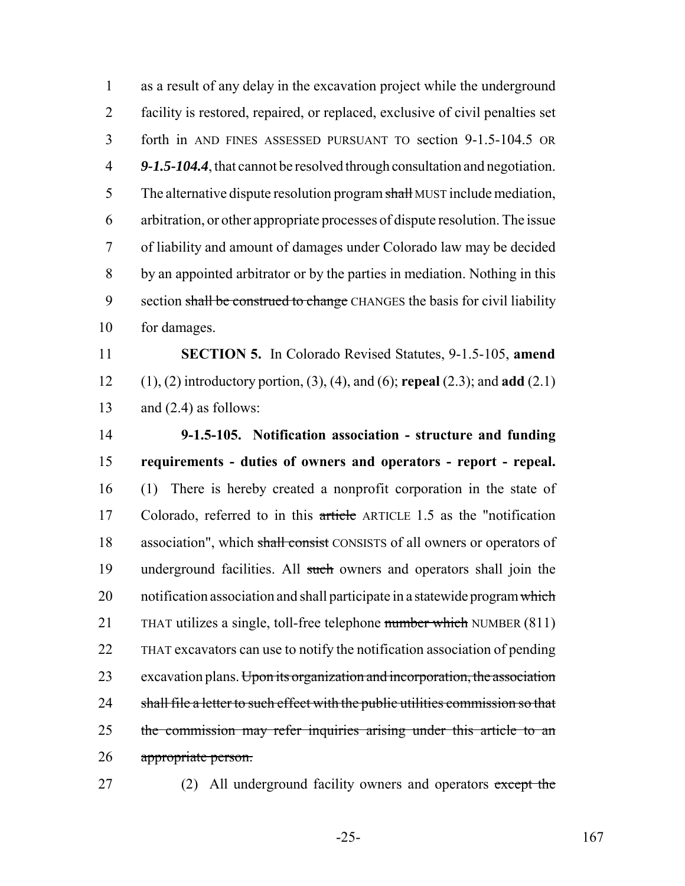as a result of any delay in the excavation project while the underground facility is restored, repaired, or replaced, exclusive of civil penalties set forth in AND FINES ASSESSED PURSUANT TO section 9-1.5-104.5 OR *9-1.5-104.4*, that cannot be resolved through consultation and negotiation. 5 The alternative dispute resolution program shall MUST include mediation, arbitration, or other appropriate processes of dispute resolution. The issue of liability and amount of damages under Colorado law may be decided by an appointed arbitrator or by the parties in mediation. Nothing in this 9 section shall be construed to change CHANGES the basis for civil liability for damages.

11 **SECTION 5.** In Colorado Revised Statutes, 9-1.5-105, **amend** 12 (1), (2) introductory portion, (3), (4), and (6); **repeal** (2.3); and **add** (2.1) 13 and  $(2.4)$  as follows:

14 **9-1.5-105. Notification association - structure and funding** 15 **requirements - duties of owners and operators - report - repeal.** 16 (1) There is hereby created a nonprofit corporation in the state of 17 Colorado, referred to in this article ARTICLE 1.5 as the "notification" 18 association", which shall consist CONSISTS of all owners or operators of 19 underground facilities. All such owners and operators shall join the 20 notification association and shall participate in a statewide program which 21 THAT utilizes a single, toll-free telephone number which NUMBER (811) 22 THAT excavators can use to notify the notification association of pending 23 excavation plans. Upon its organization and incorporation, the association 24 shall file a letter to such effect with the public utilities commission so that 25 the commission may refer inquiries arising under this article to an 26 appropriate person.

27 (2) All underground facility owners and operators except the

-25- 167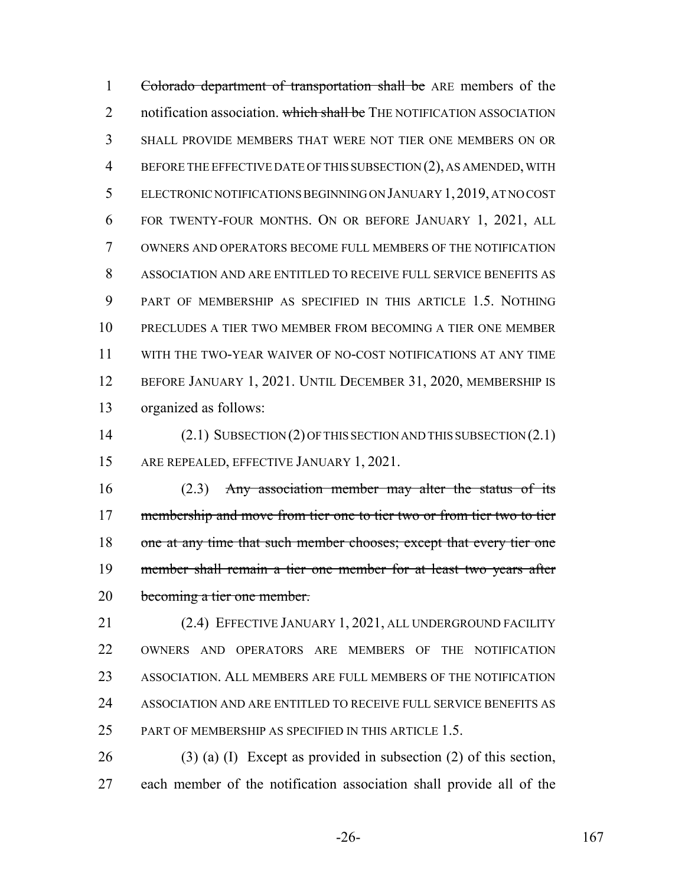Colorado department of transportation shall be ARE members of the 2 notification association. which shall be THE NOTIFICATION ASSOCIATION SHALL PROVIDE MEMBERS THAT WERE NOT TIER ONE MEMBERS ON OR BEFORE THE EFFECTIVE DATE OF THIS SUBSECTION (2), AS AMENDED, WITH ELECTRONIC NOTIFICATIONS BEGINNING ON JANUARY 1,2019, AT NO COST FOR TWENTY-FOUR MONTHS. ON OR BEFORE JANUARY 1, 2021, ALL OWNERS AND OPERATORS BECOME FULL MEMBERS OF THE NOTIFICATION ASSOCIATION AND ARE ENTITLED TO RECEIVE FULL SERVICE BENEFITS AS PART OF MEMBERSHIP AS SPECIFIED IN THIS ARTICLE 1.5. NOTHING PRECLUDES A TIER TWO MEMBER FROM BECOMING A TIER ONE MEMBER WITH THE TWO-YEAR WAIVER OF NO-COST NOTIFICATIONS AT ANY TIME BEFORE JANUARY 1, 2021. UNTIL DECEMBER 31, 2020, MEMBERSHIP IS organized as follows:

 (2.1) SUBSECTION (2) OF THIS SECTION AND THIS SUBSECTION (2.1) 15 ARE REPEALED, EFFECTIVE JANUARY 1, 2021.

 (2.3) Any association member may alter the status of its 17 membership and move from tier one to tier two or from tier two to tier one at any time that such member chooses; except that every tier one member shall remain a tier one member for at least two years after becoming a tier one member.

 (2.4) EFFECTIVE JANUARY 1, 2021, ALL UNDERGROUND FACILITY OWNERS AND OPERATORS ARE MEMBERS OF THE NOTIFICATION ASSOCIATION. ALL MEMBERS ARE FULL MEMBERS OF THE NOTIFICATION ASSOCIATION AND ARE ENTITLED TO RECEIVE FULL SERVICE BENEFITS AS 25 PART OF MEMBERSHIP AS SPECIFIED IN THIS ARTICLE 1.5.

 (3) (a) (I) Except as provided in subsection (2) of this section, each member of the notification association shall provide all of the

-26- 167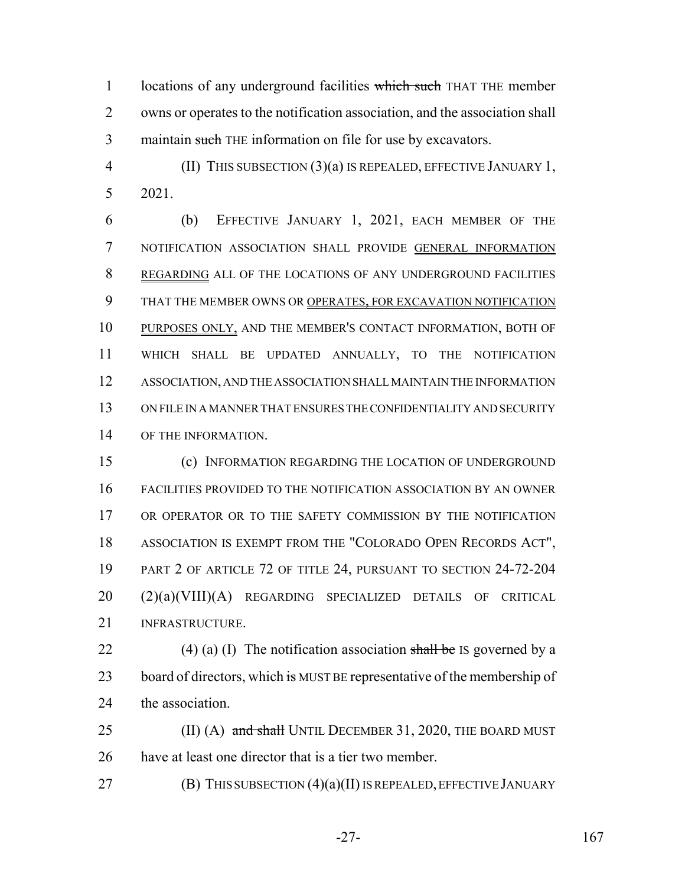1 locations of any underground facilities which such THAT THE member owns or operates to the notification association, and the association shall 3 maintain such THE information on file for use by excavators.

 (II) THIS SUBSECTION (3)(a) IS REPEALED, EFFECTIVE JANUARY 1, 2021.

 (b) EFFECTIVE JANUARY 1, 2021, EACH MEMBER OF THE NOTIFICATION ASSOCIATION SHALL PROVIDE GENERAL INFORMATION REGARDING ALL OF THE LOCATIONS OF ANY UNDERGROUND FACILITIES THAT THE MEMBER OWNS OR OPERATES, FOR EXCAVATION NOTIFICATION PURPOSES ONLY, AND THE MEMBER'S CONTACT INFORMATION, BOTH OF WHICH SHALL BE UPDATED ANNUALLY, TO THE NOTIFICATION ASSOCIATION, AND THE ASSOCIATION SHALL MAINTAIN THE INFORMATION ON FILE IN A MANNER THAT ENSURES THE CONFIDENTIALITY AND SECURITY OF THE INFORMATION.

 (c) INFORMATION REGARDING THE LOCATION OF UNDERGROUND FACILITIES PROVIDED TO THE NOTIFICATION ASSOCIATION BY AN OWNER 17 OR OPERATOR OR TO THE SAFETY COMMISSION BY THE NOTIFICATION ASSOCIATION IS EXEMPT FROM THE "COLORADO OPEN RECORDS ACT", PART 2 OF ARTICLE 72 OF TITLE 24, PURSUANT TO SECTION 24-72-204 (2)(a)(VIII)(A) REGARDING SPECIALIZED DETAILS OF CRITICAL INFRASTRUCTURE.

22 (4) (a) (I) The notification association shall be IS governed by a 23 board of directors, which is MUST BE representative of the membership of the association.

25 (II) (A) and shall UNTIL DECEMBER 31, 2020, THE BOARD MUST have at least one director that is a tier two member.

**(B) THIS SUBSECTION (4)(a)(II) IS REPEALED, EFFECTIVE JANUARY** 

-27- 167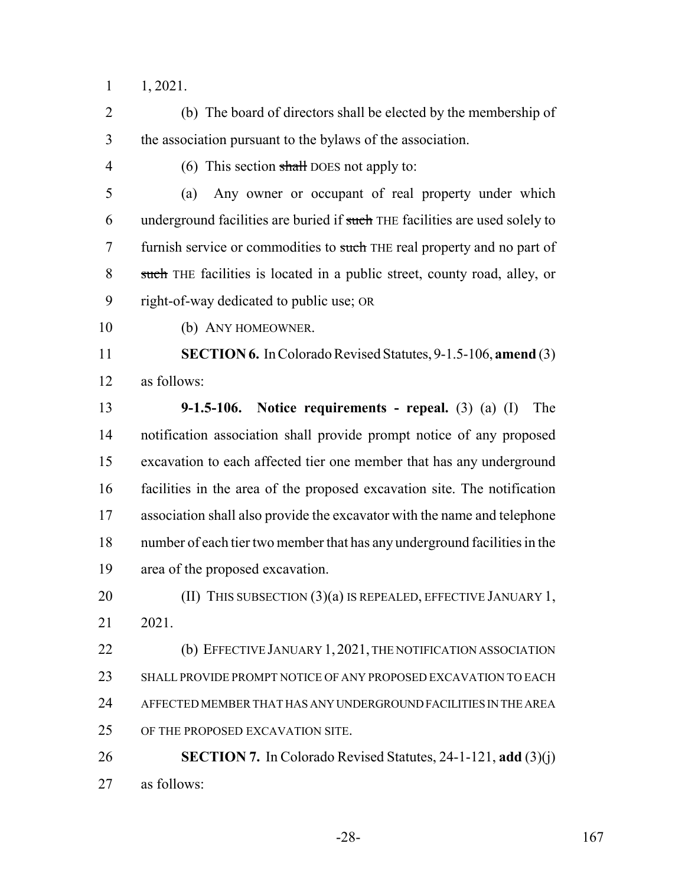1, 2021.

 (b) The board of directors shall be elected by the membership of the association pursuant to the bylaws of the association.

4 (6) This section shall DOES not apply to:

 (a) Any owner or occupant of real property under which 6 underground facilities are buried if such THE facilities are used solely to 7 furnish service or commodities to such THE real property and no part of such THE facilities is located in a public street, county road, alley, or right-of-way dedicated to public use; OR

(b) ANY HOMEOWNER.

 **SECTION 6.** In Colorado Revised Statutes, 9-1.5-106, **amend** (3) as follows:

 **9-1.5-106. Notice requirements - repeal.** (3) (a) (I) The notification association shall provide prompt notice of any proposed excavation to each affected tier one member that has any underground facilities in the area of the proposed excavation site. The notification association shall also provide the excavator with the name and telephone number of each tier two member that has any underground facilities in the area of the proposed excavation.

**(II) THIS SUBSECTION (3)(a) IS REPEALED, EFFECTIVE JANUARY 1,** 2021.

**(b) EFFECTIVE JANUARY 1, 2021, THE NOTIFICATION ASSOCIATION**  SHALL PROVIDE PROMPT NOTICE OF ANY PROPOSED EXCAVATION TO EACH AFFECTED MEMBER THAT HAS ANY UNDERGROUND FACILITIES IN THE AREA OF THE PROPOSED EXCAVATION SITE.

 **SECTION 7.** In Colorado Revised Statutes, 24-1-121, **add** (3)(j) as follows: